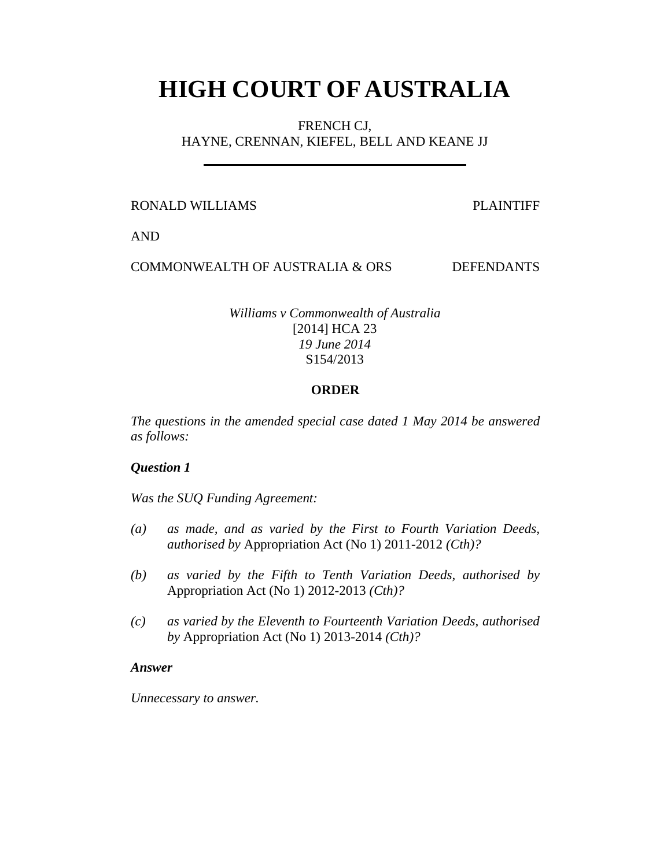# **HIGH COURT OF AUSTRALIA**

FRENCH CJ, HAYNE, CRENNAN, KIEFEL, BELL AND KEANE JJ

# RONALD WILLIAMS PLAINTIFF

AND

## COMMONWEALTH OF AUSTRALIA & ORS DEFENDANTS

*Williams v Commonwealth of Australia*  [2014] HCA 23 *19 June 2014*  S154/2013

## **ORDER**

*The questions in the amended special case dated 1 May 2014 be answered as follows:* 

# *Question 1*

*Was the SUQ Funding Agreement:* 

- *(a) as made, and as varied by the First to Fourth Variation Deeds, authorised by* Appropriation Act (No 1) 2011-2012 *(Cth)?*
- *(b) as varied by the Fifth to Tenth Variation Deeds, authorised by*  Appropriation Act (No 1) 2012-2013 *(Cth)?*
- *(c) as varied by the Eleventh to Fourteenth Variation Deeds, authorised by* Appropriation Act (No 1) 2013-2014 *(Cth)?*

## *Answer*

*Unnecessary to answer.*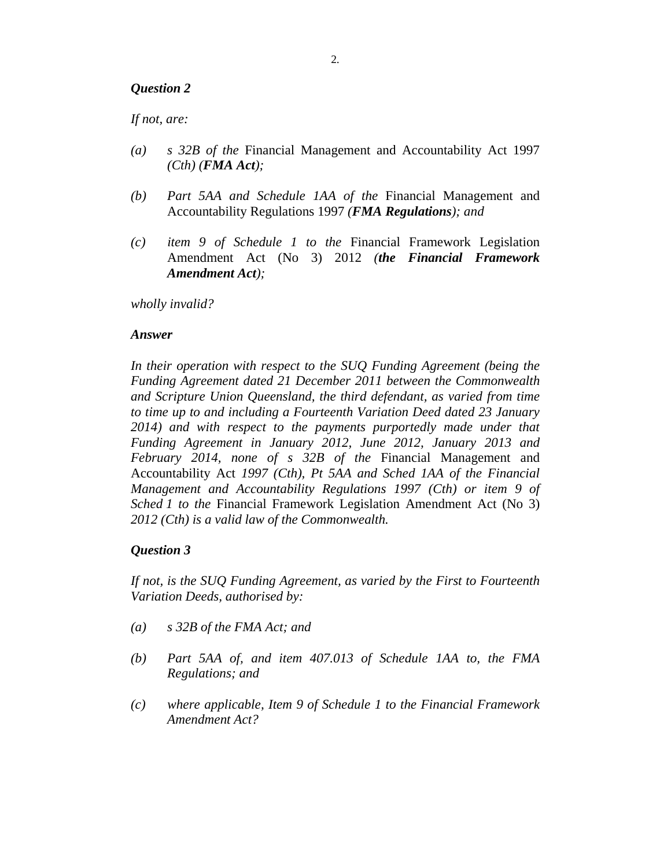# *Question 2*

*If not, are:* 

- *(a) s 32B of the* Financial Management and Accountability Act 1997 *(Cth) (FMA Act);*
- *(b) Part 5AA and Schedule 1AA of the* Financial Management and Accountability Regulations 1997 *(FMA Regulations); and*
- *(c) item 9 of Schedule 1 to the* Financial Framework Legislation Amendment Act (No 3) 2012 *(the Financial Framework Amendment Act);*

*wholly invalid?* 

#### *Answer*

*In their operation with respect to the SUQ Funding Agreement (being the Funding Agreement dated 21 December 2011 between the Commonwealth and Scripture Union Queensland, the third defendant, as varied from time to time up to and including a Fourteenth Variation Deed dated 23 January 2014) and with respect to the payments purportedly made under that Funding Agreement in January 2012, June 2012, January 2013 and February 2014, none of s 32B of the* Financial Management and Accountability Act *1997 (Cth), Pt 5AA and Sched 1AA of the Financial Management and Accountability Regulations 1997 (Cth) or item 9 of Sched 1 to the Financial Framework Legislation Amendment Act (No 3) 2012 (Cth) is a valid law of the Commonwealth.* 

## *Question 3*

*If not, is the SUQ Funding Agreement, as varied by the First to Fourteenth Variation Deeds, authorised by:* 

- *(a) s 32B of the FMA Act; and*
- *(b) Part 5AA of, and item 407.013 of Schedule 1AA to, the FMA Regulations; and*
- *(c) where applicable, Item 9 of Schedule 1 to the Financial Framework Amendment Act?*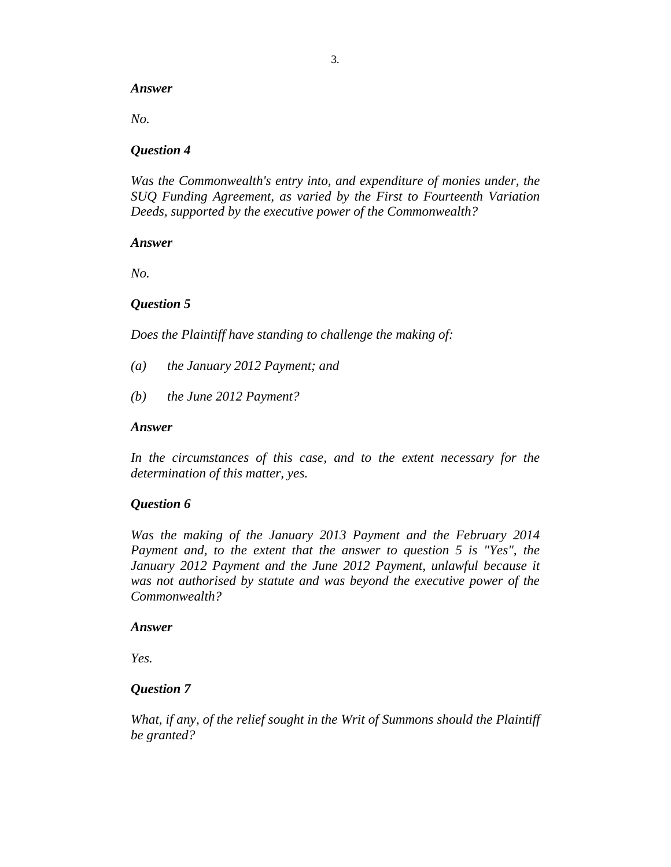## *Answer*

*No.* 

## *Question 4*

*Was the Commonwealth's entry into, and expenditure of monies under, the SUQ Funding Agreement, as varied by the First to Fourteenth Variation Deeds, supported by the executive power of the Commonwealth?* 

## *Answer*

*No.* 

## *Question 5*

*Does the Plaintiff have standing to challenge the making of:* 

- *(a) the January 2012 Payment; and*
- *(b) the June 2012 Payment?*

## *Answer*

*In the circumstances of this case, and to the extent necessary for the determination of this matter, yes.* 

# *Question 6*

*Was the making of the January 2013 Payment and the February 2014 Payment and, to the extent that the answer to question 5 is "Yes", the January 2012 Payment and the June 2012 Payment, unlawful because it was not authorised by statute and was beyond the executive power of the Commonwealth?* 

#### *Answer*

*Yes.* 

## *Question 7*

*What, if any, of the relief sought in the Writ of Summons should the Plaintiff be granted?*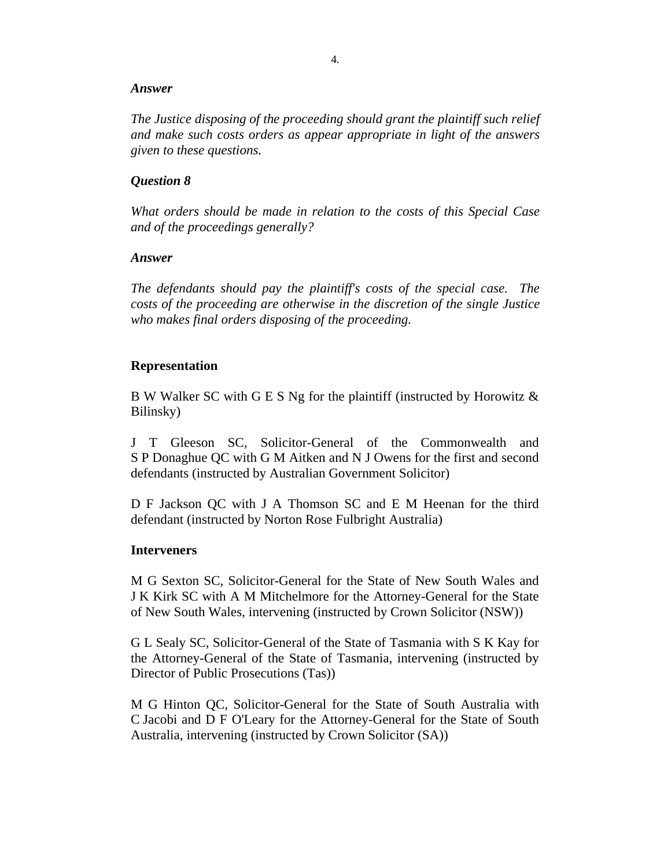#### *Answer*

*The Justice disposing of the proceeding should grant the plaintiff such relief and make such costs orders as appear appropriate in light of the answers given to these questions.* 

#### *Question 8*

*What orders should be made in relation to the costs of this Special Case and of the proceedings generally?* 

#### *Answer*

*The defendants should pay the plaintiff's costs of the special case. The costs of the proceeding are otherwise in the discretion of the single Justice who makes final orders disposing of the proceeding.* 

#### **Representation**

B W Walker SC with G E S Ng for the plaintiff (instructed by Horowitz & Bilinsky)

J T Gleeson SC, Solicitor-General of the Commonwealth and S P Donaghue QC with G M Aitken and N J Owens for the first and second defendants (instructed by Australian Government Solicitor)

D F Jackson QC with J A Thomson SC and E M Heenan for the third defendant (instructed by Norton Rose Fulbright Australia)

#### **Interveners**

M G Sexton SC, Solicitor-General for the State of New South Wales and J K Kirk SC with A M Mitchelmore for the Attorney-General for the State of New South Wales, intervening (instructed by Crown Solicitor (NSW))

G L Sealy SC, Solicitor-General of the State of Tasmania with S K Kay for the Attorney-General of the State of Tasmania, intervening (instructed by Director of Public Prosecutions (Tas))

M G Hinton QC, Solicitor-General for the State of South Australia with C Jacobi and D F O'Leary for the Attorney-General for the State of South Australia, intervening (instructed by Crown Solicitor (SA))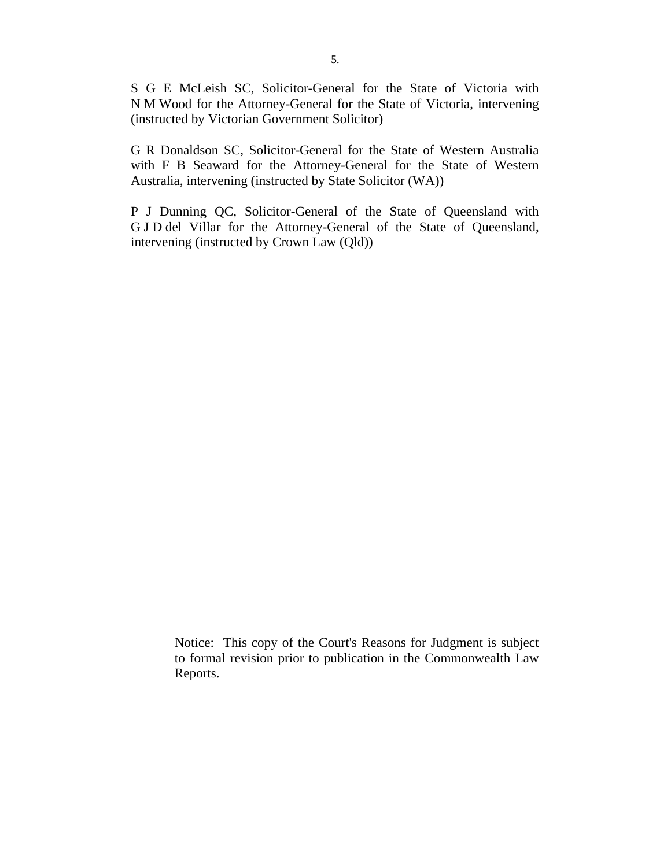S G E McLeish SC, Solicitor-General for the State of Victoria with N M Wood for the Attorney-General for the State of Victoria, intervening (instructed by Victorian Government Solicitor)

G R Donaldson SC, Solicitor-General for the State of Western Australia with F B Seaward for the Attorney-General for the State of Western Australia, intervening (instructed by State Solicitor (WA))

P J Dunning QC, Solicitor-General of the State of Queensland with G J D del Villar for the Attorney-General of the State of Queensland, intervening (instructed by Crown Law (Qld))

> Notice: This copy of the Court's Reasons for Judgment is subject to formal revision prior to publication in the Commonwealth Law Reports.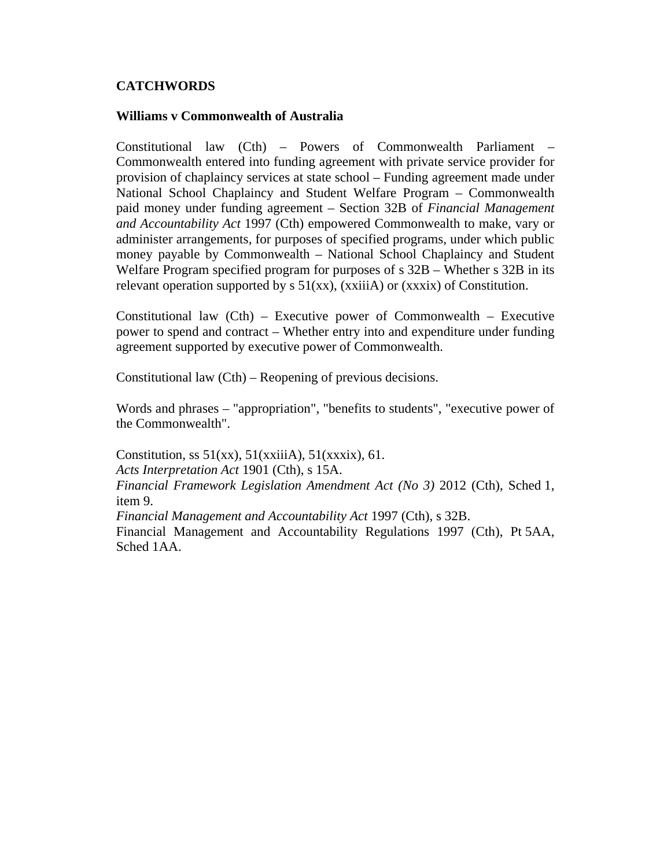# **CATCHWORDS**

Sched 1AA.

## **Williams v Commonwealth of Australia**

Constitutional law (Cth) – Powers of Commonwealth Parliament – Commonwealth entered into funding agreement with private service provider for provision of chaplaincy services at state school – Funding agreement made under National School Chaplaincy and Student Welfare Program – Commonwealth paid money under funding agreement – Section 32B of *Financial Management and Accountability Act* 1997 (Cth) empowered Commonwealth to make, vary or administer arrangements, for purposes of specified programs, under which public money payable by Commonwealth – National School Chaplaincy and Student Welfare Program specified program for purposes of s 32B – Whether s 32B in its relevant operation supported by  $s \frac{51}{xx}$ ,  $(x\chi)$ ,  $(x\chi)$  or  $(x\chi x\chi)$  of Constitution.

Constitutional law (Cth) – Executive power of Commonwealth – Executive power to spend and contract – Whether entry into and expenditure under funding agreement supported by executive power of Commonwealth.

Constitutional law (Cth) – Reopening of previous decisions.

Words and phrases – "appropriation", "benefits to students", "executive power of the Commonwealth".

Constitution, ss  $51(xx)$ ,  $51(xxiiiA)$ ,  $51(xxix)$ , 61. *Acts Interpretation Act* 1901 (Cth), s 15A. *Financial Framework Legislation Amendment Act (No 3)* 2012 (Cth), Sched 1, item 9. *Financial Management and Accountability Act* 1997 (Cth), s 32B. Financial Management and Accountability Regulations 1997 (Cth), Pt 5AA,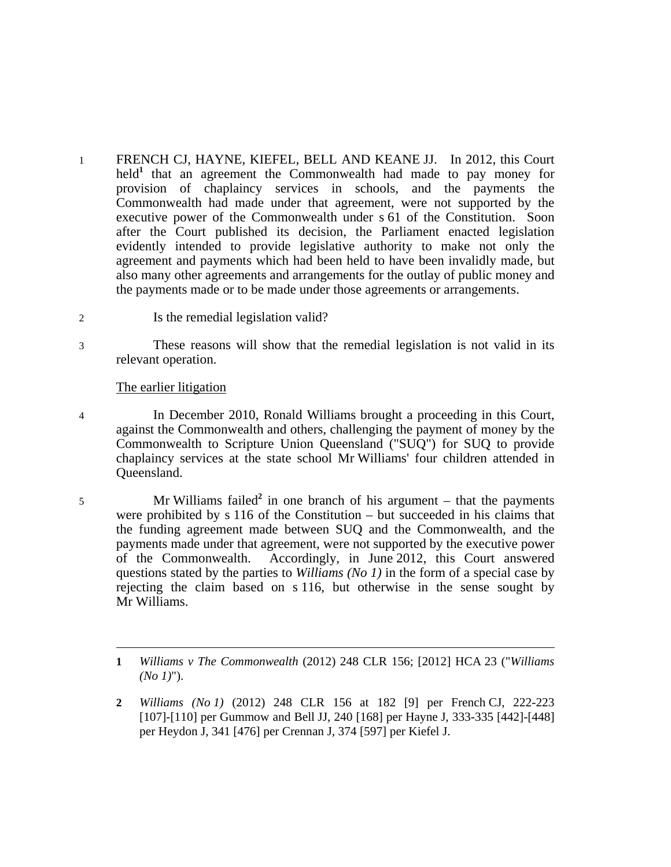- 1 FRENCH CJ, HAYNE, KIEFEL, BELL AND KEANE JJ. In 2012, this Court held<sup>1</sup> that an agreement the Commonwealth had made to pay money for provision of chaplaincy services in schools, and the payments the Commonwealth had made under that agreement, were not supported by the executive power of the Commonwealth under s 61 of the Constitution. Soon after the Court published its decision, the Parliament enacted legislation evidently intended to provide legislative authority to make not only the agreement and payments which had been held to have been invalidly made, but also many other agreements and arrangements for the outlay of public money and the payments made or to be made under those agreements or arrangements.
- 2 Is the remedial legislation valid?

3 These reasons will show that the remedial legislation is not valid in its relevant operation.

## The earlier litigation

- 4 In December 2010, Ronald Williams brought a proceeding in this Court, against the Commonwealth and others, challenging the payment of money by the Commonwealth to Scripture Union Queensland ("SUQ") for SUQ to provide chaplaincy services at the state school Mr Williams' four children attended in Queensland.
- 5 Mr Williams failed<sup>2</sup> in one branch of his argument that the payments were prohibited by s 116 of the Constitution – but succeeded in his claims that the funding agreement made between SUQ and the Commonwealth, and the payments made under that agreement, were not supported by the executive power of the Commonwealth. Accordingly, in June 2012, this Court answered questions stated by the parties to *Williams (No 1)* in the form of a special case by rejecting the claim based on s 116, but otherwise in the sense sought by Mr Williams.

 $\overline{a}$ **1** *Williams v The Commonwealth* (2012) 248 CLR 156; [2012] HCA 23 ("*Williams (No 1)*").

**<sup>2</sup>** *Williams (No 1)* (2012) 248 CLR 156 at 182 [9] per French CJ, 222-223 [107]-[110] per Gummow and Bell JJ, 240 [168] per Hayne J, 333-335 [442]-[448] per Heydon J, 341 [476] per Crennan J, 374 [597] per Kiefel J.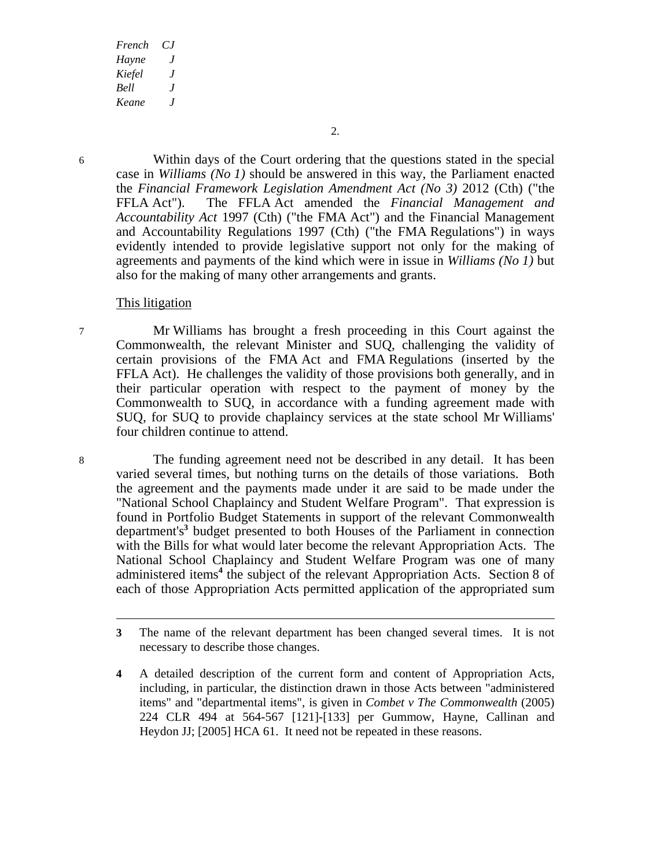6 Within days of the Court ordering that the questions stated in the special case in *Williams (No 1)* should be answered in this way, the Parliament enacted the *Financial Framework Legislation Amendment Act (No 3)* 2012 (Cth) ("the FFLA Act"). The FFLA Act amended the *Financial Management and Accountability Act* 1997 (Cth) ("the FMA Act") and the Financial Management and Accountability Regulations 1997 (Cth) ("the FMA Regulations") in ways evidently intended to provide legislative support not only for the making of agreements and payments of the kind which were in issue in *Williams (No 1)* but also for the making of many other arrangements and grants.

#### This litigation

7 Mr Williams has brought a fresh proceeding in this Court against the Commonwealth, the relevant Minister and SUQ, challenging the validity of certain provisions of the FMA Act and FMA Regulations (inserted by the FFLA Act). He challenges the validity of those provisions both generally, and in their particular operation with respect to the payment of money by the Commonwealth to SUQ, in accordance with a funding agreement made with SUQ, for SUQ to provide chaplaincy services at the state school Mr Williams' four children continue to attend.

8 The funding agreement need not be described in any detail. It has been varied several times, but nothing turns on the details of those variations. Both the agreement and the payments made under it are said to be made under the "National School Chaplaincy and Student Welfare Program". That expression is found in Portfolio Budget Statements in support of the relevant Commonwealth department's**<sup>3</sup>** budget presented to both Houses of the Parliament in connection with the Bills for what would later become the relevant Appropriation Acts. The National School Chaplaincy and Student Welfare Program was one of many administered items<sup>4</sup> the subject of the relevant Appropriation Acts. Section 8 of each of those Appropriation Acts permitted application of the appropriated sum

l

**<sup>3</sup>** The name of the relevant department has been changed several times. It is not necessary to describe those changes.

**<sup>4</sup>** A detailed description of the current form and content of Appropriation Acts, including, in particular, the distinction drawn in those Acts between "administered items" and "departmental items", is given in *Combet v The Commonwealth* (2005) 224 CLR 494 at 564-567 [121]-[133] per Gummow, Hayne, Callinan and Heydon JJ; [2005] HCA 61. It need not be repeated in these reasons.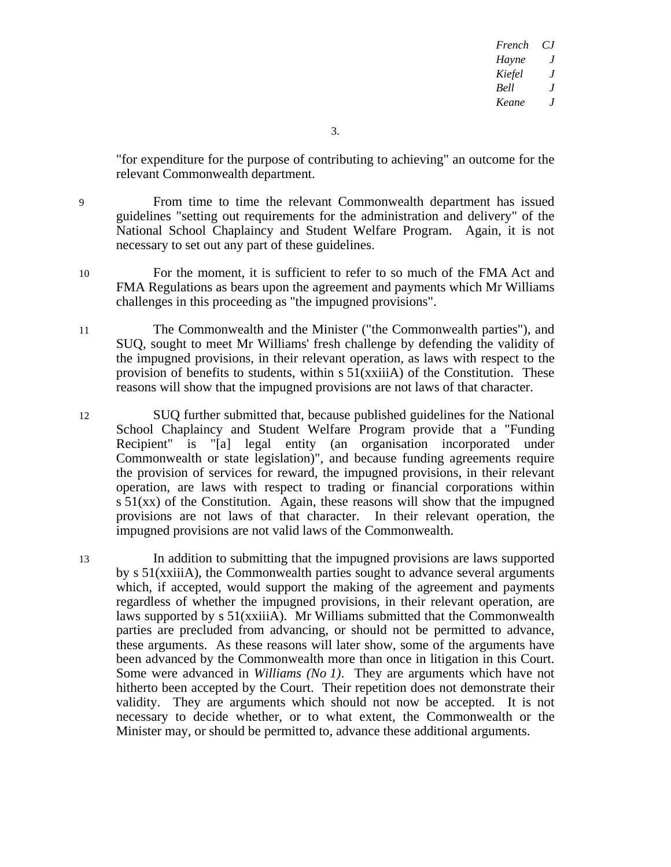"for expenditure for the purpose of contributing to achieving" an outcome for the relevant Commonwealth department.

9 From time to time the relevant Commonwealth department has issued guidelines "setting out requirements for the administration and delivery" of the National School Chaplaincy and Student Welfare Program. Again, it is not necessary to set out any part of these guidelines.

10 For the moment, it is sufficient to refer to so much of the FMA Act and FMA Regulations as bears upon the agreement and payments which Mr Williams challenges in this proceeding as "the impugned provisions".

11 The Commonwealth and the Minister ("the Commonwealth parties"), and SUQ, sought to meet Mr Williams' fresh challenge by defending the validity of the impugned provisions, in their relevant operation, as laws with respect to the provision of benefits to students, within s 51(xxiiiA) of the Constitution. These reasons will show that the impugned provisions are not laws of that character.

12 SUQ further submitted that, because published guidelines for the National School Chaplaincy and Student Welfare Program provide that a "Funding Recipient" is "[a] legal entity (an organisation incorporated under Commonwealth or state legislation)", and because funding agreements require the provision of services for reward, the impugned provisions, in their relevant operation, are laws with respect to trading or financial corporations within  $s$  51(xx) of the Constitution. Again, these reasons will show that the impugned provisions are not laws of that character. In their relevant operation, the impugned provisions are not valid laws of the Commonwealth.

13 In addition to submitting that the impugned provisions are laws supported by s 51(xxiiiA), the Commonwealth parties sought to advance several arguments which, if accepted, would support the making of the agreement and payments regardless of whether the impugned provisions, in their relevant operation, are laws supported by s 51(xxiiiA). Mr Williams submitted that the Commonwealth parties are precluded from advancing, or should not be permitted to advance, these arguments. As these reasons will later show, some of the arguments have been advanced by the Commonwealth more than once in litigation in this Court. Some were advanced in *Williams (No 1)*. They are arguments which have not hitherto been accepted by the Court. Their repetition does not demonstrate their validity. They are arguments which should not now be accepted. It is not necessary to decide whether, or to what extent, the Commonwealth or the Minister may, or should be permitted to, advance these additional arguments.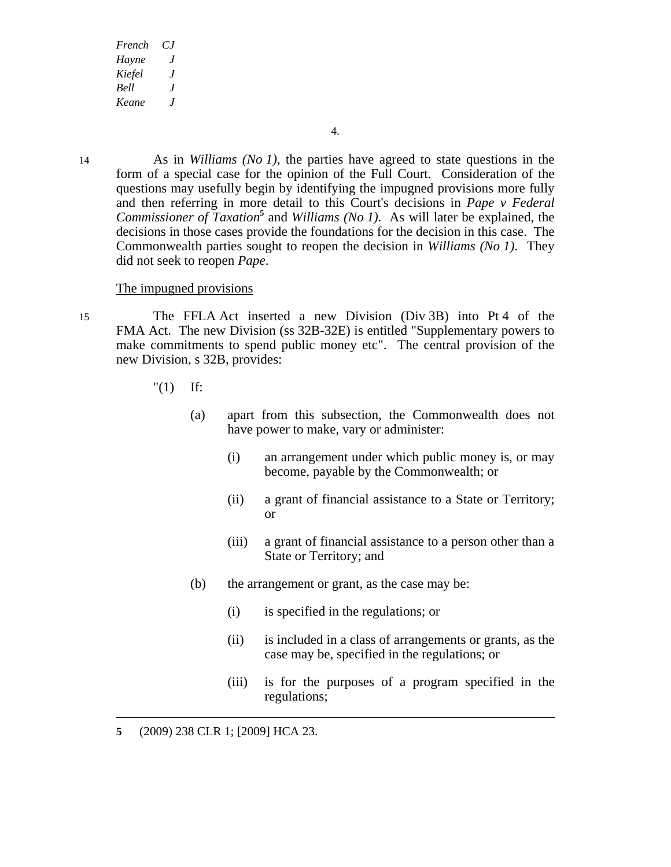4.

14 As in *Williams (No 1)*, the parties have agreed to state questions in the form of a special case for the opinion of the Full Court. Consideration of the questions may usefully begin by identifying the impugned provisions more fully and then referring in more detail to this Court's decisions in *Pape v Federal*  Commissioner of Taxation<sup>5</sup> and *Williams (No 1)*. As will later be explained, the decisions in those cases provide the foundations for the decision in this case. The Commonwealth parties sought to reopen the decision in *Williams (No 1)*. They did not seek to reopen *Pape*.

#### The impugned provisions

15 The FFLA Act inserted a new Division (Div 3B) into Pt 4 of the FMA Act. The new Division (ss 32B-32E) is entitled "Supplementary powers to make commitments to spend public money etc". The central provision of the new Division, s 32B, provides:

- $"(1)$  If:
	- (a) apart from this subsection, the Commonwealth does not have power to make, vary or administer:
		- (i) an arrangement under which public money is, or may become, payable by the Commonwealth; or
		- (ii) a grant of financial assistance to a State or Territory; or
		- (iii) a grant of financial assistance to a person other than a State or Territory; and
	- (b) the arrangement or grant, as the case may be:
		- (i) is specified in the regulations; or
		- (ii) is included in a class of arrangements or grants, as the case may be, specified in the regulations; or
		- (iii) is for the purposes of a program specified in the regulations;
- **5** (2009) 238 CLR 1; [2009] HCA 23.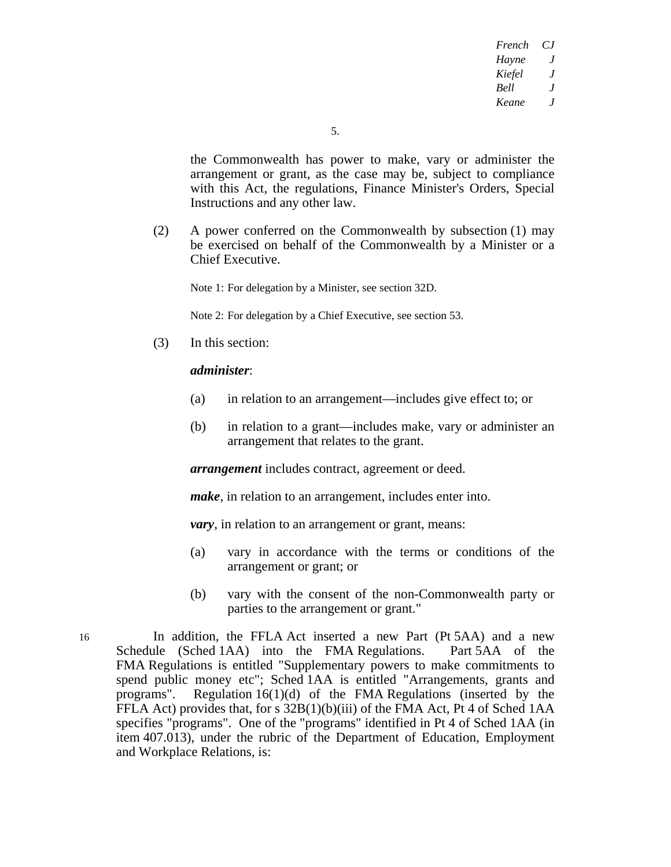the Commonwealth has power to make, vary or administer the arrangement or grant, as the case may be, subject to compliance with this Act, the regulations, Finance Minister's Orders, Special Instructions and any other law.

(2) A power conferred on the Commonwealth by subsection (1) may be exercised on behalf of the Commonwealth by a Minister or a Chief Executive.

Note 1: For delegation by a Minister, see section 32D.

Note 2: For delegation by a Chief Executive, see section 53.

(3) In this section:

#### *administer*:

- (a) in relation to an arrangement—includes give effect to; or
- (b) in relation to a grant—includes make, vary or administer an arrangement that relates to the grant.

*arrangement* includes contract, agreement or deed.

*make*, in relation to an arrangement, includes enter into.

*vary*, in relation to an arrangement or grant, means:

- (a) vary in accordance with the terms or conditions of the arrangement or grant; or
- (b) vary with the consent of the non-Commonwealth party or parties to the arrangement or grant."

16 In addition, the FFLA Act inserted a new Part (Pt 5AA) and a new Schedule (Sched 1AA) into the FMA Regulations. Part 5AA of the FMA Regulations is entitled "Supplementary powers to make commitments to spend public money etc"; Sched 1AA is entitled "Arrangements, grants and programs". Regulation 16(1)(d) of the FMA Regulations (inserted by the FFLA Act) provides that, for s  $32B(1)(b)(iii)$  of the FMA Act, Pt 4 of Sched 1AA specifies "programs". One of the "programs" identified in Pt 4 of Sched 1AA (in item 407.013), under the rubric of the Department of Education, Employment and Workplace Relations, is: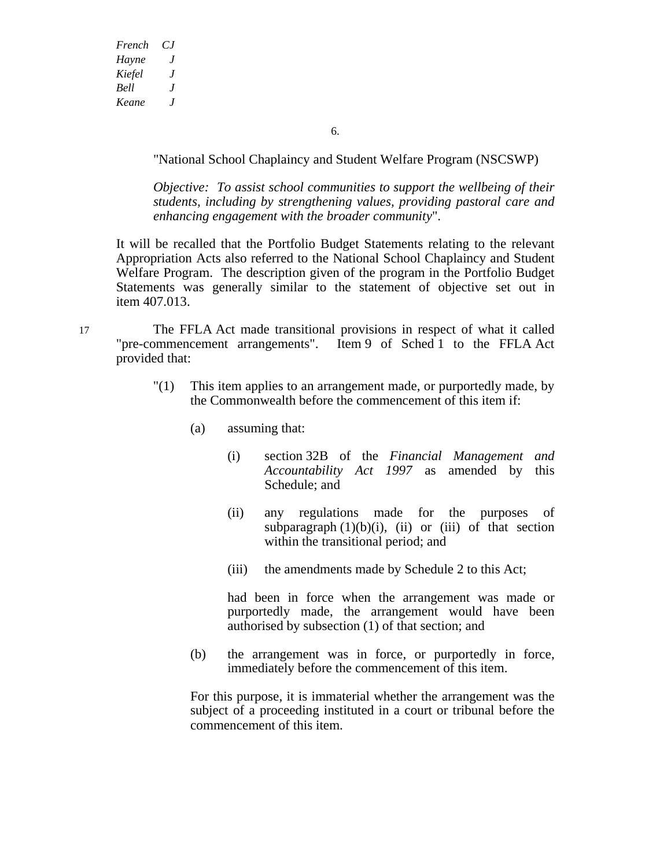6.

"National School Chaplaincy and Student Welfare Program (NSCSWP)

*Objective: To assist school communities to support the wellbeing of their students, including by strengthening values, providing pastoral care and enhancing engagement with the broader community*".

It will be recalled that the Portfolio Budget Statements relating to the relevant Appropriation Acts also referred to the National School Chaplaincy and Student Welfare Program. The description given of the program in the Portfolio Budget Statements was generally similar to the statement of objective set out in item 407.013.

17 The FFLA Act made transitional provisions in respect of what it called "pre-commencement arrangements". Item 9 of Sched 1 to the FFLA Act provided that:

- "(1) This item applies to an arrangement made, or purportedly made, by the Commonwealth before the commencement of this item if:
	- (a) assuming that:
		- (i) section 32B of the *Financial Management and Accountability Act 1997* as amended by this Schedule; and
		- (ii) any regulations made for the purposes of subparagraph  $(1)(b)(i)$ , (ii) or (iii) of that section within the transitional period; and
		- (iii) the amendments made by Schedule 2 to this Act;

had been in force when the arrangement was made or purportedly made, the arrangement would have been authorised by subsection (1) of that section; and

(b) the arrangement was in force, or purportedly in force, immediately before the commencement of this item.

For this purpose, it is immaterial whether the arrangement was the subject of a proceeding instituted in a court or tribunal before the commencement of this item.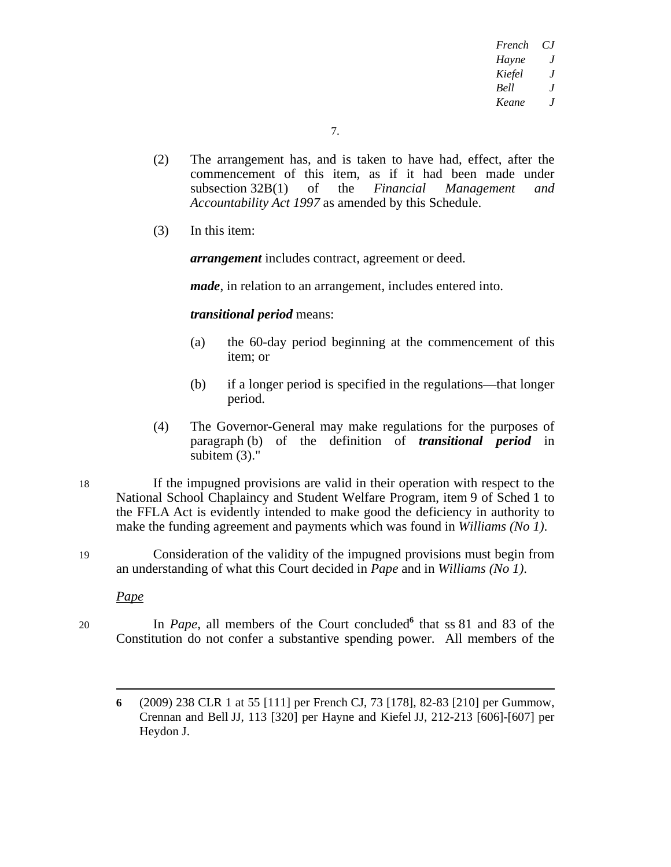- (2) The arrangement has, and is taken to have had, effect, after the commencement of this item, as if it had been made under subsection 32B(1) of the *Financial Management and Accountability Act 1997* as amended by this Schedule.
- (3) In this item:

*arrangement* includes contract, agreement or deed.

*made*, in relation to an arrangement, includes entered into.

*transitional period* means:

- (a) the 60-day period beginning at the commencement of this item; or
- (b) if a longer period is specified in the regulations—that longer period.
- (4) The Governor-General may make regulations for the purposes of paragraph (b) of the definition of *transitional period* in subitem (3)."
- 18 If the impugned provisions are valid in their operation with respect to the National School Chaplaincy and Student Welfare Program, item 9 of Sched 1 to the FFLA Act is evidently intended to make good the deficiency in authority to make the funding agreement and payments which was found in *Williams (No 1)*.
- 19 Consideration of the validity of the impugned provisions must begin from an understanding of what this Court decided in *Pape* and in *Williams (No 1)*.

*Pape* 

20 In *Pape*, all members of the Court concluded<sup>6</sup> that ss 81 and 83 of the Constitution do not confer a substantive spending power. All members of the

**<sup>6</sup>** (2009) 238 CLR 1 at 55 [111] per French CJ, 73 [178], 82-83 [210] per Gummow, Crennan and Bell JJ, 113 [320] per Hayne and Kiefel JJ, 212-213 [606]-[607] per Heydon J.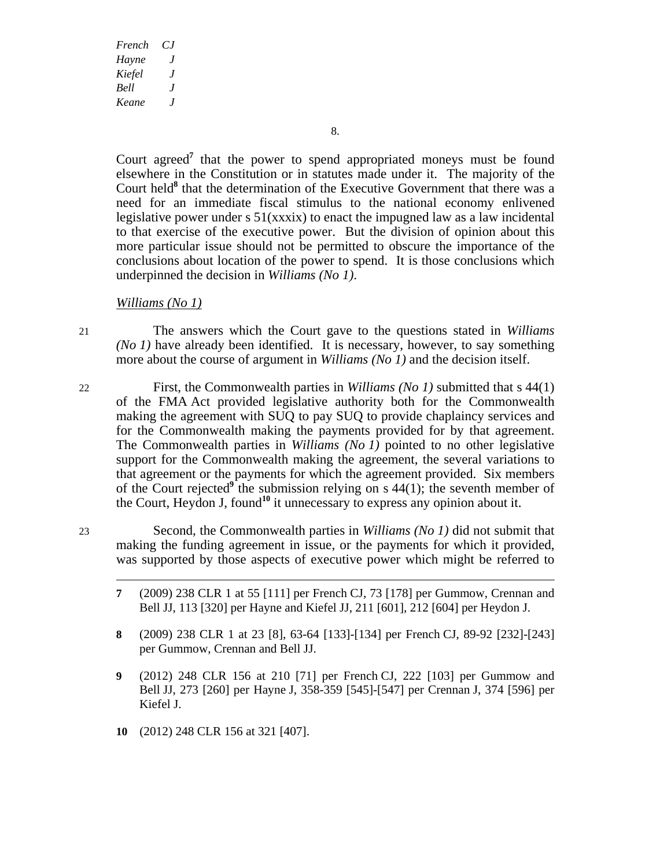8.

Court agreed<sup>7</sup> that the power to spend appropriated moneys must be found elsewhere in the Constitution or in statutes made under it. The majority of the Court held<sup>8</sup> that the determination of the Executive Government that there was a need for an immediate fiscal stimulus to the national economy enlivened legislative power under  $s \frac{51}{x \cdot x}$  to enact the impugned law as a law incidental to that exercise of the executive power. But the division of opinion about this more particular issue should not be permitted to obscure the importance of the conclusions about location of the power to spend. It is those conclusions which underpinned the decision in *Williams (No 1)*.

*Williams (No 1)*

21 The answers which the Court gave to the questions stated in *Williams (No 1)* have already been identified. It is necessary, however, to say something more about the course of argument in *Williams (No 1)* and the decision itself.

- 22 First, the Commonwealth parties in *Williams (No 1)* submitted that s 44(1) of the FMA Act provided legislative authority both for the Commonwealth making the agreement with SUQ to pay SUQ to provide chaplaincy services and for the Commonwealth making the payments provided for by that agreement. The Commonwealth parties in *Williams (No 1)* pointed to no other legislative support for the Commonwealth making the agreement, the several variations to that agreement or the payments for which the agreement provided. Six members of the Court rejected<sup>9</sup> the submission relying on s  $44(1)$ ; the seventh member of the Court, Heydon J, found**<sup>10</sup>** it unnecessary to express any opinion about it.
- 23 Second, the Commonwealth parties in *Williams (No 1)* did not submit that making the funding agreement in issue, or the payments for which it provided, was supported by those aspects of executive power which might be referred to
	- **7** (2009) 238 CLR 1 at 55 [111] per French CJ, 73 [178] per Gummow, Crennan and Bell JJ, 113 [320] per Hayne and Kiefel JJ, 211 [601], 212 [604] per Heydon J.
	- **8** (2009) 238 CLR 1 at 23 [8], 63-64 [133]-[134] per French CJ, 89-92 [232]-[243] per Gummow, Crennan and Bell JJ.
	- **9** (2012) 248 CLR 156 at 210 [71] per French CJ, 222 [103] per Gummow and Bell JJ, 273 [260] per Hayne J, 358-359 [545]-[547] per Crennan J, 374 [596] per Kiefel J.
	- **10** (2012) 248 CLR 156 at 321 [407].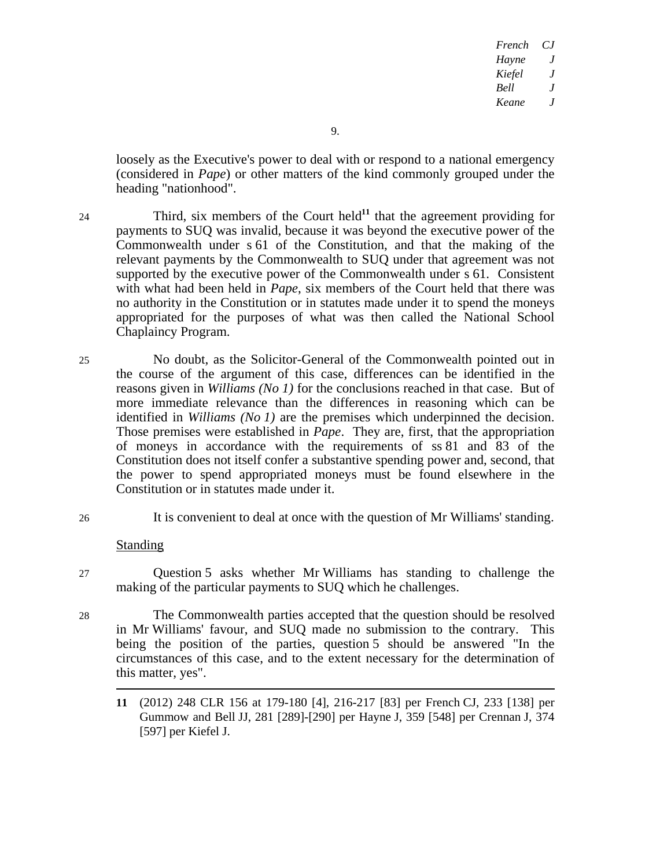loosely as the Executive's power to deal with or respond to a national emergency (considered in *Pape*) or other matters of the kind commonly grouped under the heading "nationhood".

- 24 Third, six members of the Court held**<sup>11</sup>** that the agreement providing for payments to SUQ was invalid, because it was beyond the executive power of the Commonwealth under s 61 of the Constitution, and that the making of the relevant payments by the Commonwealth to SUQ under that agreement was not supported by the executive power of the Commonwealth under s 61. Consistent with what had been held in *Pape*, six members of the Court held that there was no authority in the Constitution or in statutes made under it to spend the moneys appropriated for the purposes of what was then called the National School Chaplaincy Program.
- 25 No doubt, as the Solicitor-General of the Commonwealth pointed out in the course of the argument of this case, differences can be identified in the reasons given in *Williams (No 1)* for the conclusions reached in that case. But of more immediate relevance than the differences in reasoning which can be identified in *Williams (No 1)* are the premises which underpinned the decision. Those premises were established in *Pape*. They are, first, that the appropriation of moneys in accordance with the requirements of ss 81 and 83 of the Constitution does not itself confer a substantive spending power and, second, that the power to spend appropriated moneys must be found elsewhere in the Constitution or in statutes made under it.
- 26 It is convenient to deal at once with the question of Mr Williams' standing.

#### Standing

- 27 Question 5 asks whether Mr Williams has standing to challenge the making of the particular payments to SUQ which he challenges.
- 28 The Commonwealth parties accepted that the question should be resolved in Mr Williams' favour, and SUQ made no submission to the contrary. This being the position of the parties, question 5 should be answered "In the circumstances of this case, and to the extent necessary for the determination of this matter, yes".

**<sup>11</sup>** (2012) 248 CLR 156 at 179-180 [4], 216-217 [83] per French CJ, 233 [138] per Gummow and Bell JJ, 281 [289]-[290] per Hayne J, 359 [548] per Crennan J, 374 [597] per Kiefel J.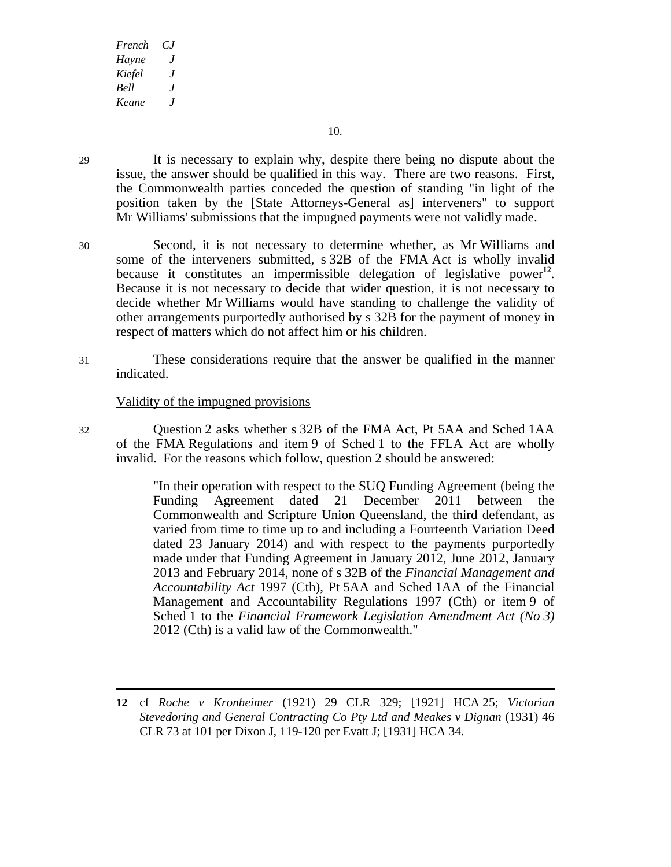10.

29 It is necessary to explain why, despite there being no dispute about the issue, the answer should be qualified in this way. There are two reasons. First, the Commonwealth parties conceded the question of standing "in light of the position taken by the [State Attorneys-General as] interveners" to support Mr Williams' submissions that the impugned payments were not validly made.

- 30 Second, it is not necessary to determine whether, as Mr Williams and some of the interveners submitted, s 32B of the FMA Act is wholly invalid because it constitutes an impermissible delegation of legislative power**<sup>12</sup>**. Because it is not necessary to decide that wider question, it is not necessary to decide whether Mr Williams would have standing to challenge the validity of other arrangements purportedly authorised by s 32B for the payment of money in respect of matters which do not affect him or his children.
- 31 These considerations require that the answer be qualified in the manner indicated.

#### Validity of the impugned provisions

32 Question 2 asks whether s 32B of the FMA Act, Pt 5AA and Sched 1AA of the FMA Regulations and item 9 of Sched 1 to the FFLA Act are wholly invalid. For the reasons which follow, question 2 should be answered:

> "In their operation with respect to the SUQ Funding Agreement (being the Funding Agreement dated 21 December 2011 between the Commonwealth and Scripture Union Queensland, the third defendant, as varied from time to time up to and including a Fourteenth Variation Deed dated 23 January 2014) and with respect to the payments purportedly made under that Funding Agreement in January 2012, June 2012, January 2013 and February 2014, none of s 32B of the *Financial Management and Accountability Act* 1997 (Cth), Pt 5AA and Sched 1AA of the Financial Management and Accountability Regulations 1997 (Cth) or item 9 of Sched 1 to the *Financial Framework Legislation Amendment Act (No 3)*  2012 (Cth) is a valid law of the Commonwealth."

**<sup>12</sup>** cf *Roche v Kronheimer* (1921) 29 CLR 329; [1921] HCA 25; *Victorian Stevedoring and General Contracting Co Pty Ltd and Meakes v Dignan* (1931) 46 CLR 73 at 101 per Dixon J, 119-120 per Evatt J; [1931] HCA 34.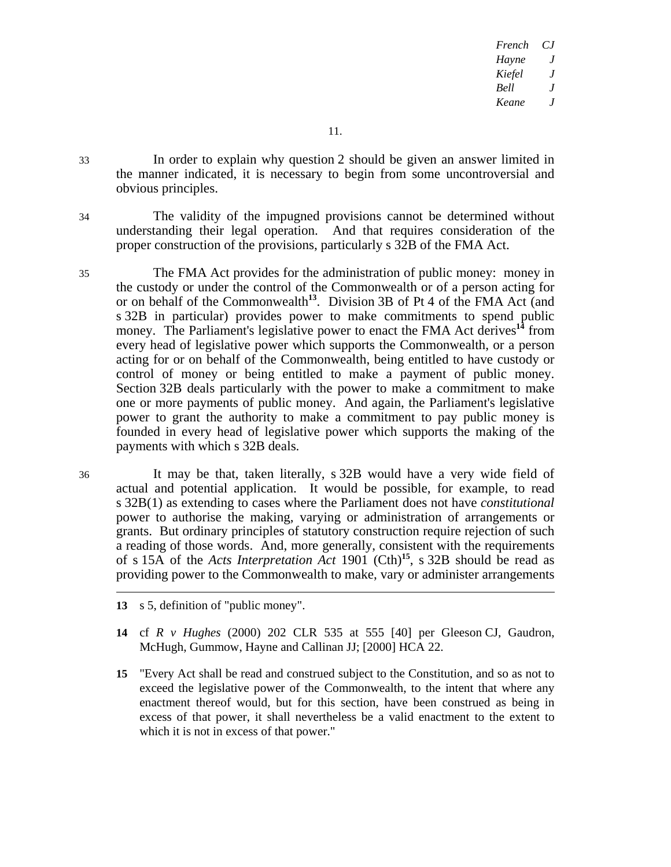33 In order to explain why question 2 should be given an answer limited in the manner indicated, it is necessary to begin from some uncontroversial and obvious principles.

34 The validity of the impugned provisions cannot be determined without understanding their legal operation. And that requires consideration of the proper construction of the provisions, particularly s 32B of the FMA Act.

35 The FMA Act provides for the administration of public money: money in the custody or under the control of the Commonwealth or of a person acting for or on behalf of the Commonwealth**<sup>13</sup>**. Division 3B of Pt 4 of the FMA Act (and s 32B in particular) provides power to make commitments to spend public money. The Parliament's legislative power to enact the FMA Act derives<sup>14</sup> from every head of legislative power which supports the Commonwealth, or a person acting for or on behalf of the Commonwealth, being entitled to have custody or control of money or being entitled to make a payment of public money. Section 32B deals particularly with the power to make a commitment to make one or more payments of public money. And again, the Parliament's legislative power to grant the authority to make a commitment to pay public money is founded in every head of legislative power which supports the making of the payments with which s 32B deals.

36 It may be that, taken literally, s 32B would have a very wide field of actual and potential application. It would be possible, for example, to read s 32B(1) as extending to cases where the Parliament does not have *constitutional* power to authorise the making, varying or administration of arrangements or grants. But ordinary principles of statutory construction require rejection of such a reading of those words. And, more generally, consistent with the requirements of s 15A of the *Acts Interpretation Act* 1901 (Cth)**<sup>15</sup>**, s 32B should be read as providing power to the Commonwealth to make, vary or administer arrangements

- **13** s 5, definition of "public money".
- **14** cf *R v Hughes* (2000) 202 CLR 535 at 555 [40] per Gleeson CJ, Gaudron, McHugh, Gummow, Hayne and Callinan JJ; [2000] HCA 22.
- **15** "Every Act shall be read and construed subject to the Constitution, and so as not to exceed the legislative power of the Commonwealth, to the intent that where any enactment thereof would, but for this section, have been construed as being in excess of that power, it shall nevertheless be a valid enactment to the extent to which it is not in excess of that power."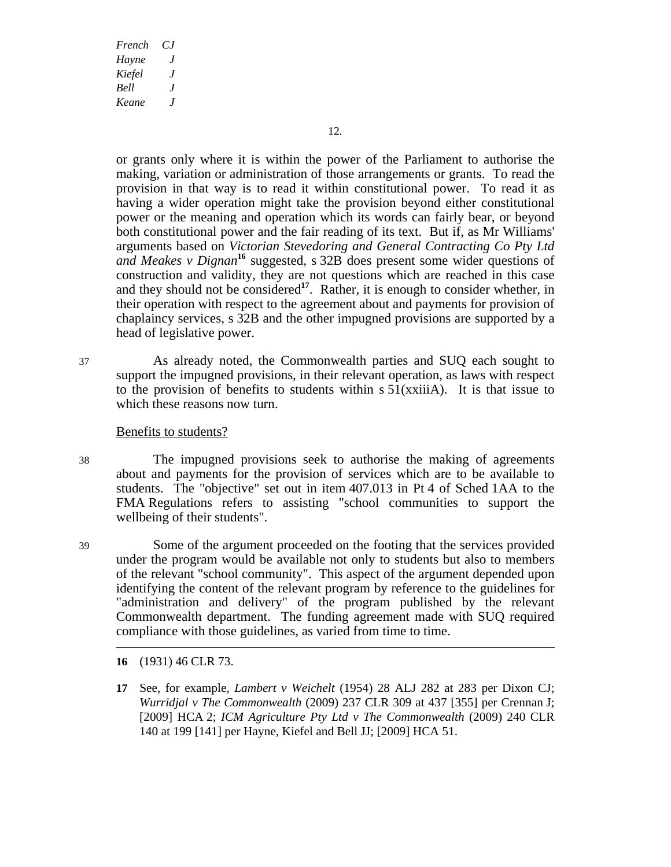or grants only where it is within the power of the Parliament to authorise the making, variation or administration of those arrangements or grants. To read the provision in that way is to read it within constitutional power. To read it as having a wider operation might take the provision beyond either constitutional power or the meaning and operation which its words can fairly bear, or beyond both constitutional power and the fair reading of its text. But if, as Mr Williams' arguments based on *Victorian Stevedoring and General Contracting Co Pty Ltd and Meakes v Dignan***<sup>16</sup>** suggested, s 32B does present some wider questions of construction and validity, they are not questions which are reached in this case and they should not be considered**<sup>17</sup>**. Rather, it is enough to consider whether, in their operation with respect to the agreement about and payments for provision of chaplaincy services, s 32B and the other impugned provisions are supported by a head of legislative power.

37 As already noted, the Commonwealth parties and SUQ each sought to support the impugned provisions, in their relevant operation, as laws with respect to the provision of benefits to students within  $s 51(xxii)$ . It is that issue to which these reasons now turn.

## Benefits to students?

- 38 The impugned provisions seek to authorise the making of agreements about and payments for the provision of services which are to be available to students. The "objective" set out in item 407.013 in Pt 4 of Sched 1AA to the FMA Regulations refers to assisting "school communities to support the wellbeing of their students".
- 39 Some of the argument proceeded on the footing that the services provided under the program would be available not only to students but also to members of the relevant "school community". This aspect of the argument depended upon identifying the content of the relevant program by reference to the guidelines for "administration and delivery" of the program published by the relevant Commonwealth department. The funding agreement made with SUQ required compliance with those guidelines, as varied from time to time.

**16** (1931) 46 CLR 73.

 $\overline{a}$ 

**17** See, for example, *Lambert v Weichelt* (1954) 28 ALJ 282 at 283 per Dixon CJ; *Wurridjal v The Commonwealth* (2009) 237 CLR 309 at 437 [355] per Crennan J; [2009] HCA 2; *ICM Agriculture Pty Ltd v The Commonwealth* (2009) 240 CLR 140 at 199 [141] per Hayne, Kiefel and Bell JJ; [2009] HCA 51.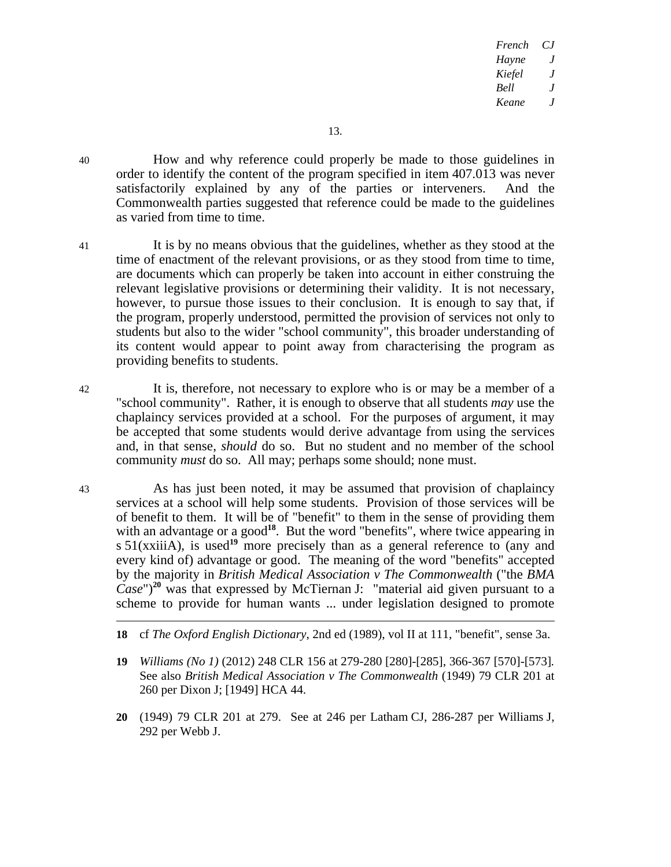40 How and why reference could properly be made to those guidelines in order to identify the content of the program specified in item 407.013 was never satisfactorily explained by any of the parties or interveners. And the Commonwealth parties suggested that reference could be made to the guidelines as varied from time to time.

41 It is by no means obvious that the guidelines, whether as they stood at the time of enactment of the relevant provisions, or as they stood from time to time, are documents which can properly be taken into account in either construing the relevant legislative provisions or determining their validity. It is not necessary, however, to pursue those issues to their conclusion. It is enough to say that, if the program, properly understood, permitted the provision of services not only to students but also to the wider "school community", this broader understanding of its content would appear to point away from characterising the program as providing benefits to students.

42 It is, therefore, not necessary to explore who is or may be a member of a "school community". Rather, it is enough to observe that all students *may* use the chaplaincy services provided at a school. For the purposes of argument, it may be accepted that some students would derive advantage from using the services and, in that sense, *should* do so. But no student and no member of the school community *must* do so. All may; perhaps some should; none must.

43 As has just been noted, it may be assumed that provision of chaplaincy services at a school will help some students. Provision of those services will be of benefit to them. It will be of "benefit" to them in the sense of providing them with an advantage or a good<sup>18</sup>. But the word "benefits", where twice appearing in s 51(xxiiiA), is used**<sup>19</sup>** more precisely than as a general reference to (any and every kind of) advantage or good. The meaning of the word "benefits" accepted by the majority in *British Medical Association v The Commonwealth* ("the *BMA Case*")**<sup>20</sup>** was that expressed by McTiernan J: "material aid given pursuant to a scheme to provide for human wants ... under legislation designed to promote

- **18** cf *The Oxford English Dictionary*, 2nd ed (1989), vol II at 111, "benefit", sense 3a.
- **19** *Williams (No 1)* (2012) 248 CLR 156 at 279-280 [280]-[285], 366-367 [570]-[573]*.* See also *British Medical Association v The Commonwealth* (1949) 79 CLR 201 at 260 per Dixon J; [1949] HCA 44.
- **20** (1949) 79 CLR 201 at 279. See at 246 per Latham CJ, 286-287 per Williams J, 292 per Webb J.

 $\overline{a}$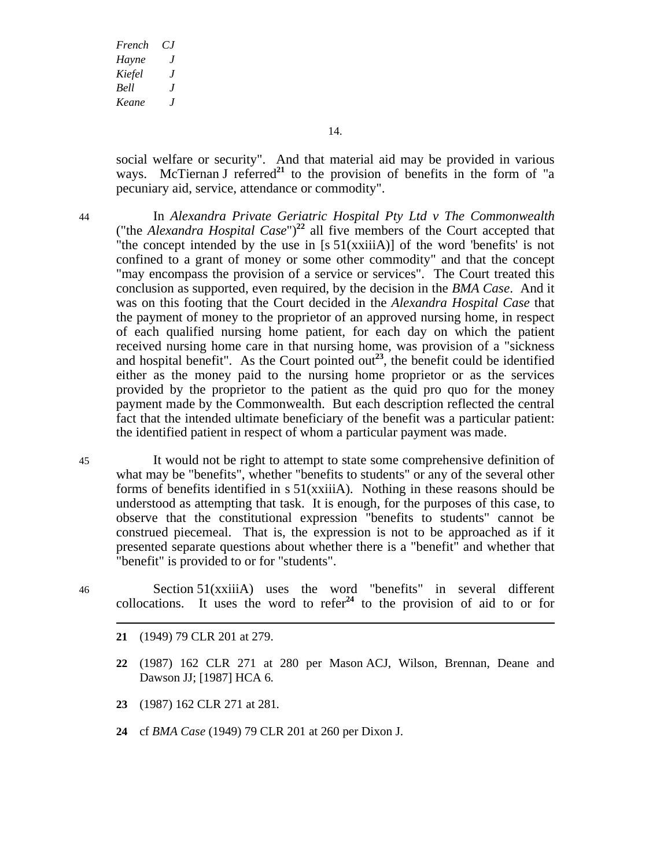14.

social welfare or security". And that material aid may be provided in various ways. McTiernan J referred<sup>21</sup> to the provision of benefits in the form of "a pecuniary aid, service, attendance or commodity".

44 In *Alexandra Private Geriatric Hospital Pty Ltd v The Commonwealth* ("the *Alexandra Hospital Case*")<sup>22</sup> all five members of the Court accepted that "the concept intended by the use in [s 51(xxiiiA)] of the word 'benefits' is not confined to a grant of money or some other commodity" and that the concept "may encompass the provision of a service or services". The Court treated this conclusion as supported, even required, by the decision in the *BMA Case*. And it was on this footing that the Court decided in the *Alexandra Hospital Case* that the payment of money to the proprietor of an approved nursing home, in respect of each qualified nursing home patient, for each day on which the patient received nursing home care in that nursing home, was provision of a "sickness and hospital benefit". As the Court pointed out<sup>23</sup>, the benefit could be identified either as the money paid to the nursing home proprietor or as the services provided by the proprietor to the patient as the quid pro quo for the money payment made by the Commonwealth. But each description reflected the central fact that the intended ultimate beneficiary of the benefit was a particular patient: the identified patient in respect of whom a particular payment was made.

45 It would not be right to attempt to state some comprehensive definition of what may be "benefits", whether "benefits to students" or any of the several other forms of benefits identified in s 51(xxiiiA). Nothing in these reasons should be understood as attempting that task. It is enough, for the purposes of this case, to observe that the constitutional expression "benefits to students" cannot be construed piecemeal. That is, the expression is not to be approached as if it presented separate questions about whether there is a "benefit" and whether that "benefit" is provided to or for "students".

46 Section 51(xxiiiA) uses the word "benefits" in several different collocations. It uses the word to refer<sup>24</sup> to the provision of aid to or for

**21** (1949) 79 CLR 201 at 279.

**22** (1987) 162 CLR 271 at 280 per Mason ACJ, Wilson, Brennan, Deane and Dawson JJ; [1987] HCA 6*.*

**23** (1987) 162 CLR 271 at 281*.*

**24** cf *BMA Case* (1949) 79 CLR 201 at 260 per Dixon J.

l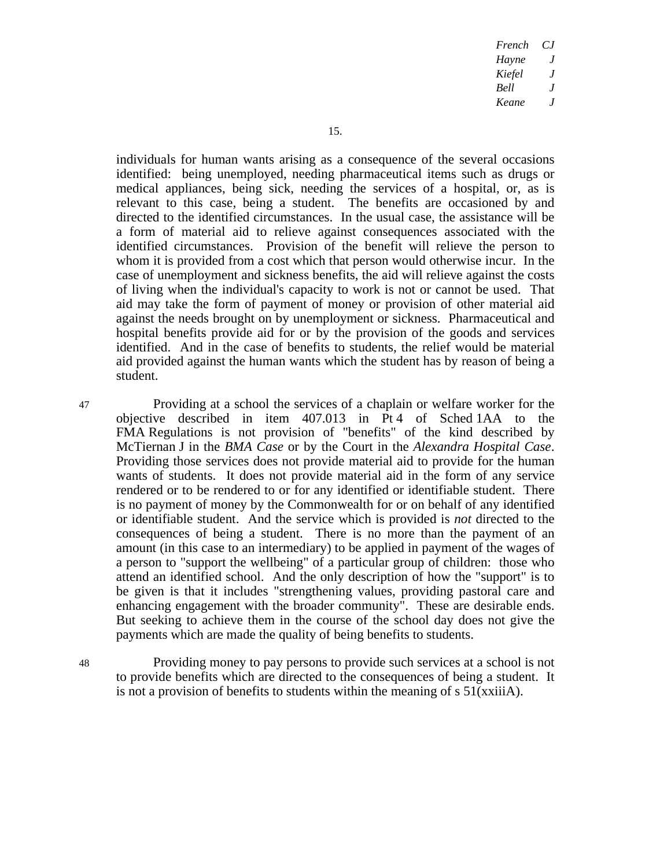individuals for human wants arising as a consequence of the several occasions identified: being unemployed, needing pharmaceutical items such as drugs or medical appliances, being sick, needing the services of a hospital, or, as is relevant to this case, being a student. The benefits are occasioned by and directed to the identified circumstances. In the usual case, the assistance will be a form of material aid to relieve against consequences associated with the identified circumstances. Provision of the benefit will relieve the person to whom it is provided from a cost which that person would otherwise incur. In the case of unemployment and sickness benefits, the aid will relieve against the costs of living when the individual's capacity to work is not or cannot be used. That aid may take the form of payment of money or provision of other material aid against the needs brought on by unemployment or sickness. Pharmaceutical and hospital benefits provide aid for or by the provision of the goods and services identified. And in the case of benefits to students, the relief would be material aid provided against the human wants which the student has by reason of being a student.

47 Providing at a school the services of a chaplain or welfare worker for the objective described in item  $407.013$  in Pt 4 of Sched 1AA to the FMA Regulations is not provision of "benefits" of the kind described by McTiernan J in the *BMA Case* or by the Court in the *Alexandra Hospital Case*. Providing those services does not provide material aid to provide for the human wants of students. It does not provide material aid in the form of any service rendered or to be rendered to or for any identified or identifiable student. There is no payment of money by the Commonwealth for or on behalf of any identified or identifiable student. And the service which is provided is *not* directed to the consequences of being a student. There is no more than the payment of an amount (in this case to an intermediary) to be applied in payment of the wages of a person to "support the wellbeing" of a particular group of children: those who attend an identified school. And the only description of how the "support" is to be given is that it includes "strengthening values, providing pastoral care and enhancing engagement with the broader community". These are desirable ends. But seeking to achieve them in the course of the school day does not give the payments which are made the quality of being benefits to students.

48 Providing money to pay persons to provide such services at a school is not to provide benefits which are directed to the consequences of being a student. It is not a provision of benefits to students within the meaning of s 51(xxiiiA).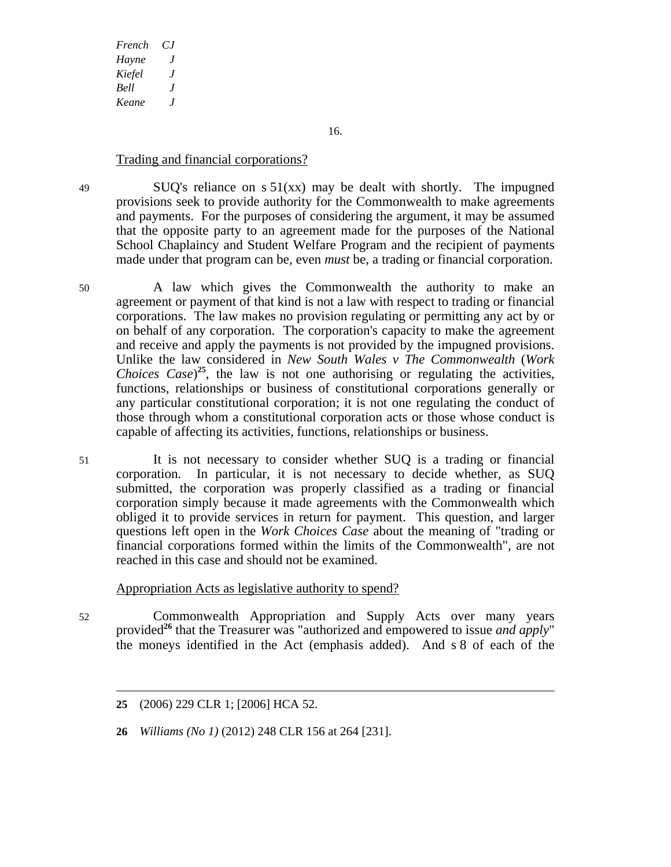16.

#### Trading and financial corporations?

49 SUO's reliance on  $s \frac{51}{x}$  may be dealt with shortly. The impugned provisions seek to provide authority for the Commonwealth to make agreements and payments. For the purposes of considering the argument, it may be assumed that the opposite party to an agreement made for the purposes of the National School Chaplaincy and Student Welfare Program and the recipient of payments made under that program can be, even *must* be, a trading or financial corporation.

- 50 A law which gives the Commonwealth the authority to make an agreement or payment of that kind is not a law with respect to trading or financial corporations. The law makes no provision regulating or permitting any act by or on behalf of any corporation. The corporation's capacity to make the agreement and receive and apply the payments is not provided by the impugned provisions. Unlike the law considered in *New South Wales v The Commonwealth* (*Work Choices Case*<sup>25</sup>, the law is not one authorising or regulating the activities, functions, relationships or business of constitutional corporations generally or any particular constitutional corporation; it is not one regulating the conduct of those through whom a constitutional corporation acts or those whose conduct is capable of affecting its activities, functions, relationships or business.
- 51 It is not necessary to consider whether SUQ is a trading or financial corporation. In particular, it is not necessary to decide whether, as SUQ submitted, the corporation was properly classified as a trading or financial corporation simply because it made agreements with the Commonwealth which obliged it to provide services in return for payment. This question, and larger questions left open in the *Work Choices Case* about the meaning of "trading or financial corporations formed within the limits of the Commonwealth", are not reached in this case and should not be examined.

#### Appropriation Acts as legislative authority to spend?

52 Commonwealth Appropriation and Supply Acts over many years provided**<sup>26</sup>** that the Treasurer was "authorized and empowered to issue *and apply*" the moneys identified in the Act (emphasis added). And s 8 of each of the

**<sup>25</sup>** (2006) 229 CLR 1; [2006] HCA 52.

**<sup>26</sup>** *Williams (No 1)* (2012) 248 CLR 156 at 264 [231].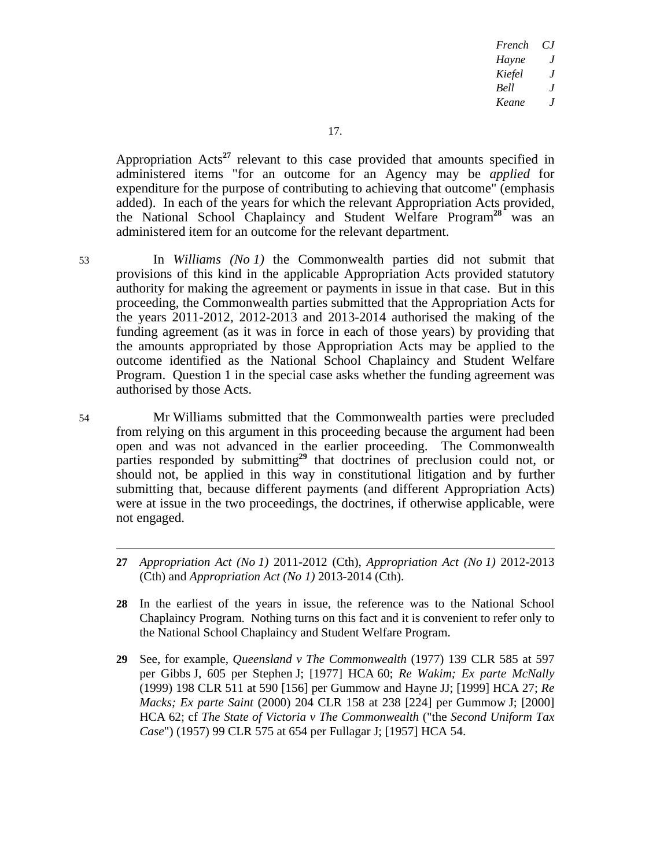Appropriation Acts**<sup>27</sup>** relevant to this case provided that amounts specified in administered items "for an outcome for an Agency may be *applied* for expenditure for the purpose of contributing to achieving that outcome" (emphasis added). In each of the years for which the relevant Appropriation Acts provided, the National School Chaplaincy and Student Welfare Program**<sup>28</sup>** was an administered item for an outcome for the relevant department.

53 In *Williams (No 1)* the Commonwealth parties did not submit that provisions of this kind in the applicable Appropriation Acts provided statutory authority for making the agreement or payments in issue in that case. But in this proceeding, the Commonwealth parties submitted that the Appropriation Acts for the years 2011-2012, 2012-2013 and 2013-2014 authorised the making of the funding agreement (as it was in force in each of those years) by providing that the amounts appropriated by those Appropriation Acts may be applied to the outcome identified as the National School Chaplaincy and Student Welfare Program. Question 1 in the special case asks whether the funding agreement was authorised by those Acts.

54 Mr Williams submitted that the Commonwealth parties were precluded from relying on this argument in this proceeding because the argument had been open and was not advanced in the earlier proceeding. The Commonwealth parties responded by submitting<sup>29</sup> that doctrines of preclusion could not, or should not, be applied in this way in constitutional litigation and by further submitting that, because different payments (and different Appropriation Acts) were at issue in the two proceedings, the doctrines, if otherwise applicable, were not engaged.

- **27** *Appropriation Act (No 1)* 2011-2012 (Cth), *Appropriation Act (No 1)* 2012-2013 (Cth) and *Appropriation Act (No 1)* 2013-2014 (Cth).
- **28** In the earliest of the years in issue, the reference was to the National School Chaplaincy Program. Nothing turns on this fact and it is convenient to refer only to the National School Chaplaincy and Student Welfare Program.
- **29** See, for example, *Queensland v The Commonwealth* (1977) 139 CLR 585 at 597 per Gibbs J, 605 per Stephen J; [1977] HCA 60; *Re Wakim; Ex parte McNally* (1999) 198 CLR 511 at 590 [156] per Gummow and Hayne JJ; [1999] HCA 27; *Re Macks; Ex parte Saint* (2000) 204 CLR 158 at 238 [224] per Gummow J; [2000] HCA 62; cf *The State of Victoria v The Commonwealth* ("the *Second Uniform Tax Case*") (1957) 99 CLR 575 at 654 per Fullagar J; [1957] HCA 54.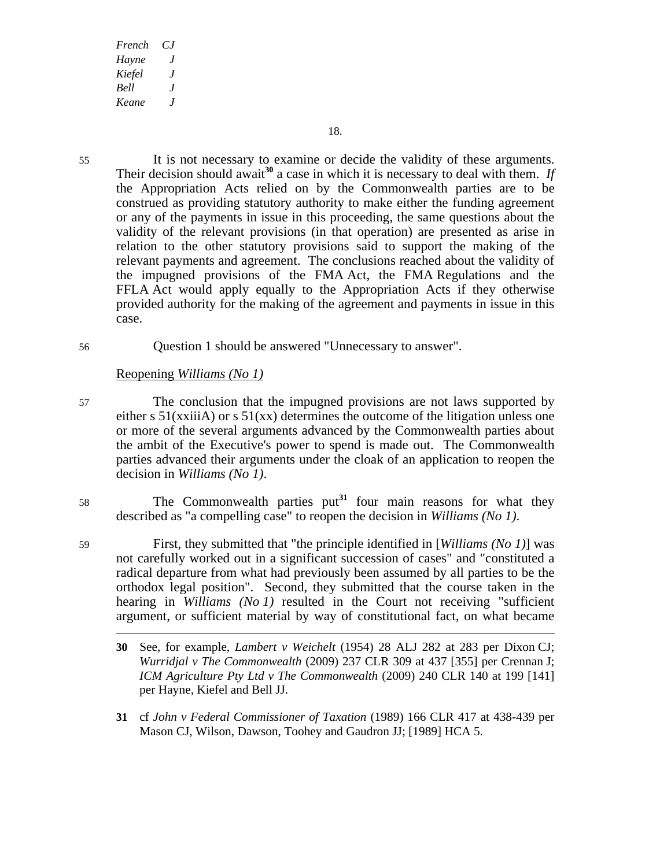55 It is not necessary to examine or decide the validity of these arguments. Their decision should await**<sup>30</sup>** a case in which it is necessary to deal with them. *If* the Appropriation Acts relied on by the Commonwealth parties are to be construed as providing statutory authority to make either the funding agreement or any of the payments in issue in this proceeding, the same questions about the validity of the relevant provisions (in that operation) are presented as arise in relation to the other statutory provisions said to support the making of the relevant payments and agreement. The conclusions reached about the validity of the impugned provisions of the FMA Act, the FMA Regulations and the FFLA Act would apply equally to the Appropriation Acts if they otherwise provided authority for the making of the agreement and payments in issue in this case.

56 Question 1 should be answered "Unnecessary to answer".

## Reopening *Williams (No 1)*

 $\overline{a}$ 

57 The conclusion that the impugned provisions are not laws supported by either s  $51(xxii)$  or s  $51(xx)$  determines the outcome of the litigation unless one or more of the several arguments advanced by the Commonwealth parties about the ambit of the Executive's power to spend is made out. The Commonwealth parties advanced their arguments under the cloak of an application to reopen the decision in *Williams (No 1)*.

58 The Commonwealth parties put**<sup>31</sup>** four main reasons for what they described as "a compelling case" to reopen the decision in *Williams (No 1)*.

- 59 First, they submitted that "the principle identified in [*Williams (No 1)*] was not carefully worked out in a significant succession of cases" and "constituted a radical departure from what had previously been assumed by all parties to be the orthodox legal position". Second, they submitted that the course taken in the hearing in *Williams (No 1)* resulted in the Court not receiving "sufficient argument, or sufficient material by way of constitutional fact, on what became
	- **30** See, for example, *Lambert v Weichelt* (1954) 28 ALJ 282 at 283 per Dixon CJ; *Wurridjal v The Commonwealth* (2009) 237 CLR 309 at 437 [355] per Crennan J; *ICM Agriculture Pty Ltd v The Commonwealth* (2009) 240 CLR 140 at 199 [141] per Hayne, Kiefel and Bell JJ.
	- **31** cf *John v Federal Commissioner of Taxation* (1989) 166 CLR 417 at 438-439 per Mason CJ, Wilson, Dawson, Toohey and Gaudron JJ; [1989] HCA 5.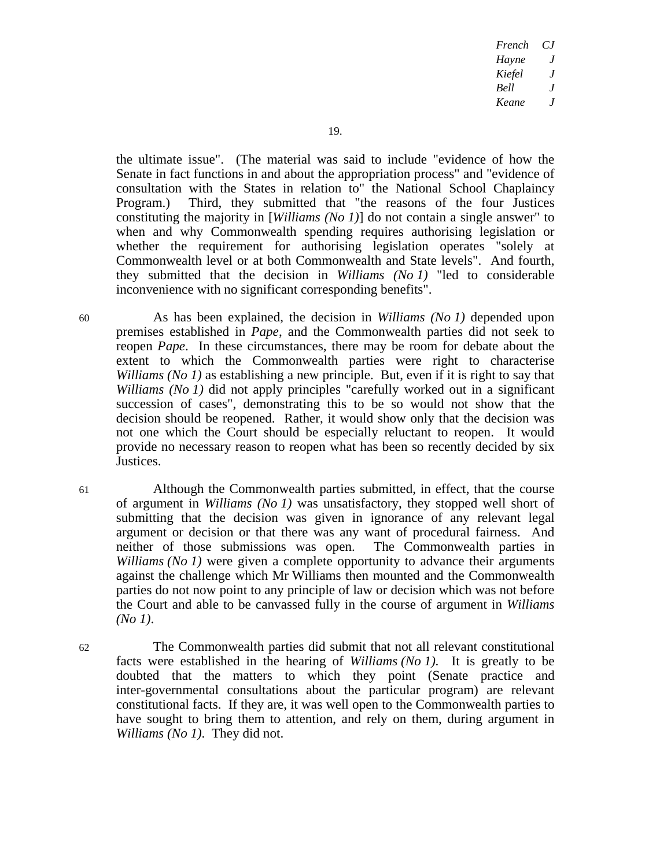the ultimate issue". (The material was said to include "evidence of how the Senate in fact functions in and about the appropriation process" and "evidence of consultation with the States in relation to" the National School Chaplaincy Program.) Third, they submitted that "the reasons of the four Justices constituting the majority in [*Williams (No 1)*] do not contain a single answer" to when and why Commonwealth spending requires authorising legislation or whether the requirement for authorising legislation operates "solely at Commonwealth level or at both Commonwealth and State levels". And fourth, they submitted that the decision in *Williams (No 1)* "led to considerable inconvenience with no significant corresponding benefits".

60 As has been explained, the decision in *Williams (No 1)* depended upon premises established in *Pape*, and the Commonwealth parties did not seek to reopen *Pape*. In these circumstances, there may be room for debate about the extent to which the Commonwealth parties were right to characterise *Williams (No 1)* as establishing a new principle. But, even if it is right to say that *Williams (No 1)* did not apply principles "carefully worked out in a significant succession of cases", demonstrating this to be so would not show that the decision should be reopened. Rather, it would show only that the decision was not one which the Court should be especially reluctant to reopen. It would provide no necessary reason to reopen what has been so recently decided by six Justices.

61 Although the Commonwealth parties submitted, in effect, that the course of argument in *Williams (No 1)* was unsatisfactory, they stopped well short of submitting that the decision was given in ignorance of any relevant legal argument or decision or that there was any want of procedural fairness. And neither of those submissions was open. The Commonwealth parties in *Williams (No 1)* were given a complete opportunity to advance their arguments against the challenge which Mr Williams then mounted and the Commonwealth parties do not now point to any principle of law or decision which was not before the Court and able to be canvassed fully in the course of argument in *Williams (No 1)*.

62 The Commonwealth parties did submit that not all relevant constitutional facts were established in the hearing of *Williams (No 1)*. It is greatly to be doubted that the matters to which they point (Senate practice and inter-governmental consultations about the particular program) are relevant constitutional facts. If they are, it was well open to the Commonwealth parties to have sought to bring them to attention, and rely on them, during argument in *Williams (No 1)*. They did not.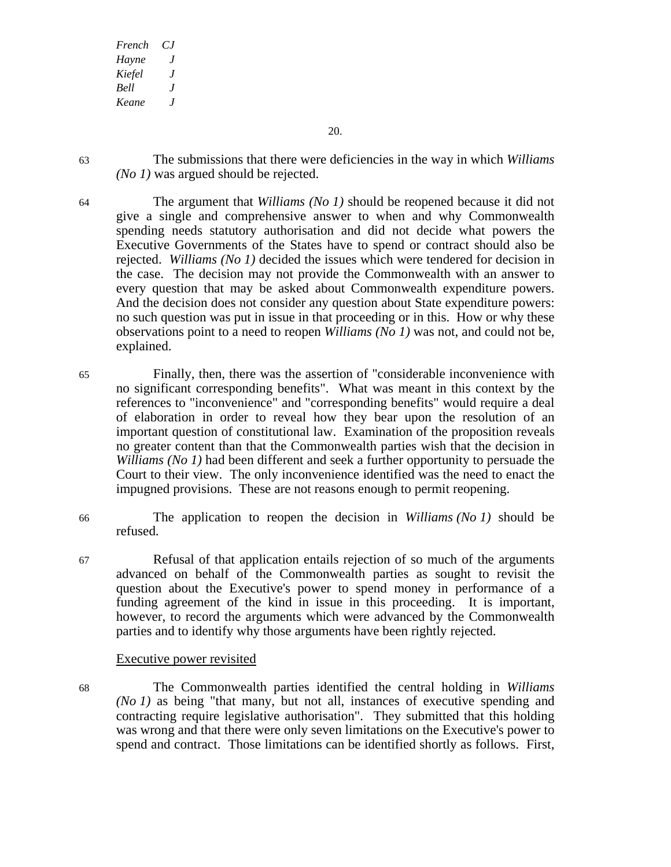20.

63 The submissions that there were deficiencies in the way in which *Williams (No 1)* was argued should be rejected.

- 64 The argument that *Williams (No 1)* should be reopened because it did not give a single and comprehensive answer to when and why Commonwealth spending needs statutory authorisation and did not decide what powers the Executive Governments of the States have to spend or contract should also be rejected. *Williams (No 1)* decided the issues which were tendered for decision in the case. The decision may not provide the Commonwealth with an answer to every question that may be asked about Commonwealth expenditure powers. And the decision does not consider any question about State expenditure powers: no such question was put in issue in that proceeding or in this. How or why these observations point to a need to reopen *Williams (No 1)* was not, and could not be, explained.
- 65 Finally, then, there was the assertion of "considerable inconvenience with no significant corresponding benefits". What was meant in this context by the references to "inconvenience" and "corresponding benefits" would require a deal of elaboration in order to reveal how they bear upon the resolution of an important question of constitutional law. Examination of the proposition reveals no greater content than that the Commonwealth parties wish that the decision in *Williams (No 1)* had been different and seek a further opportunity to persuade the Court to their view. The only inconvenience identified was the need to enact the impugned provisions. These are not reasons enough to permit reopening.
- 66 The application to reopen the decision in *Williams (No 1)* should be refused.
- 67 Refusal of that application entails rejection of so much of the arguments advanced on behalf of the Commonwealth parties as sought to revisit the question about the Executive's power to spend money in performance of a funding agreement of the kind in issue in this proceeding. It is important, however, to record the arguments which were advanced by the Commonwealth parties and to identify why those arguments have been rightly rejected.

## Executive power revisited

68 The Commonwealth parties identified the central holding in *Williams (No 1)* as being "that many, but not all, instances of executive spending and contracting require legislative authorisation". They submitted that this holding was wrong and that there were only seven limitations on the Executive's power to spend and contract. Those limitations can be identified shortly as follows. First,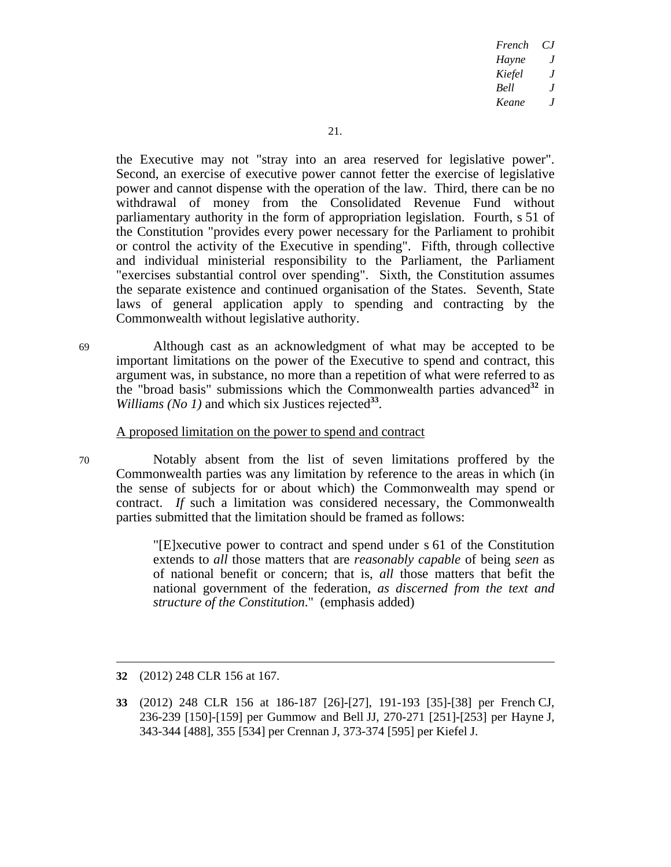the Executive may not "stray into an area reserved for legislative power". Second, an exercise of executive power cannot fetter the exercise of legislative power and cannot dispense with the operation of the law. Third, there can be no withdrawal of money from the Consolidated Revenue Fund without parliamentary authority in the form of appropriation legislation. Fourth, s 51 of the Constitution "provides every power necessary for the Parliament to prohibit or control the activity of the Executive in spending". Fifth, through collective and individual ministerial responsibility to the Parliament, the Parliament "exercises substantial control over spending". Sixth, the Constitution assumes the separate existence and continued organisation of the States. Seventh, State laws of general application apply to spending and contracting by the Commonwealth without legislative authority.

69 Although cast as an acknowledgment of what may be accepted to be important limitations on the power of the Executive to spend and contract, this argument was, in substance, no more than a repetition of what were referred to as the "broad basis" submissions which the Commonwealth parties advanced**<sup>32</sup>** in *Williams (No 1)* and which six Justices rejected**<sup>33</sup>**.

#### A proposed limitation on the power to spend and contract

70 Notably absent from the list of seven limitations proffered by the Commonwealth parties was any limitation by reference to the areas in which (in the sense of subjects for or about which) the Commonwealth may spend or contract. *If* such a limitation was considered necessary, the Commonwealth parties submitted that the limitation should be framed as follows:

> "[E]xecutive power to contract and spend under s 61 of the Constitution extends to *all* those matters that are *reasonably capable* of being *seen* as of national benefit or concern; that is, *all* those matters that befit the national government of the federation, *as discerned from the text and structure of the Constitution*." (emphasis added)

**<sup>32</sup>** (2012) 248 CLR 156 at 167.

**<sup>33</sup>** (2012) 248 CLR 156 at 186-187 [26]-[27], 191-193 [35]-[38] per French CJ, 236-239 [150]-[159] per Gummow and Bell JJ, 270-271 [251]-[253] per Hayne J, 343-344 [488], 355 [534] per Crennan J, 373-374 [595] per Kiefel J.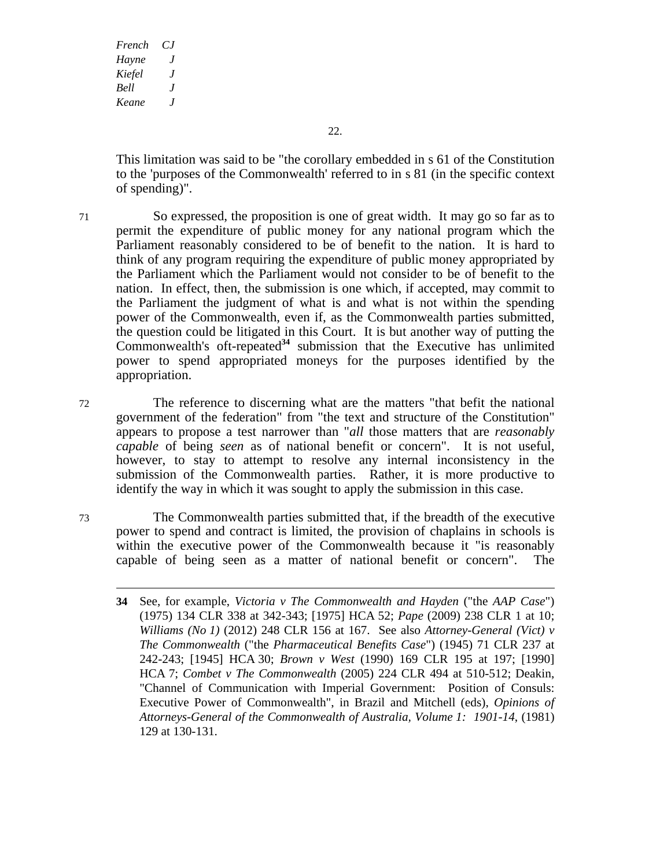22.

This limitation was said to be "the corollary embedded in s 61 of the Constitution to the 'purposes of the Commonwealth' referred to in s 81 (in the specific context of spending)".

71 So expressed, the proposition is one of great width. It may go so far as to permit the expenditure of public money for any national program which the Parliament reasonably considered to be of benefit to the nation. It is hard to think of any program requiring the expenditure of public money appropriated by the Parliament which the Parliament would not consider to be of benefit to the nation. In effect, then, the submission is one which, if accepted, may commit to the Parliament the judgment of what is and what is not within the spending power of the Commonwealth, even if, as the Commonwealth parties submitted, the question could be litigated in this Court. It is but another way of putting the Commonwealth's oft-repeated<sup>34</sup> submission that the Executive has unlimited power to spend appropriated moneys for the purposes identified by the appropriation.

72 The reference to discerning what are the matters "that befit the national government of the federation" from "the text and structure of the Constitution" appears to propose a test narrower than "*all* those matters that are *reasonably capable* of being *seen* as of national benefit or concern". It is not useful, however, to stay to attempt to resolve any internal inconsistency in the submission of the Commonwealth parties. Rather, it is more productive to identify the way in which it was sought to apply the submission in this case.

73 The Commonwealth parties submitted that, if the breadth of the executive power to spend and contract is limited, the provision of chaplains in schools is within the executive power of the Commonwealth because it "is reasonably capable of being seen as a matter of national benefit or concern". The

**<sup>34</sup>** See, for example, *Victoria v The Commonwealth and Hayden* ("the *AAP Case*") (1975) 134 CLR 338 at 342-343; [1975] HCA 52; *Pape* (2009) 238 CLR 1 at 10; *Williams (No 1)* (2012) 248 CLR 156 at 167. See also *Attorney-General (Vict) v The Commonwealth* ("the *Pharmaceutical Benefits Case*") (1945) 71 CLR 237 at 242-243; [1945] HCA 30; *Brown v West* (1990) 169 CLR 195 at 197; [1990] HCA 7; *Combet v The Commonwealth* (2005) 224 CLR 494 at 510-512; Deakin, "Channel of Communication with Imperial Government: Position of Consuls: Executive Power of Commonwealth", in Brazil and Mitchell (eds), *Opinions of Attorneys-General of the Commonwealth of Australia, Volume 1: 1901-14*, (1981) 129 at 130-131.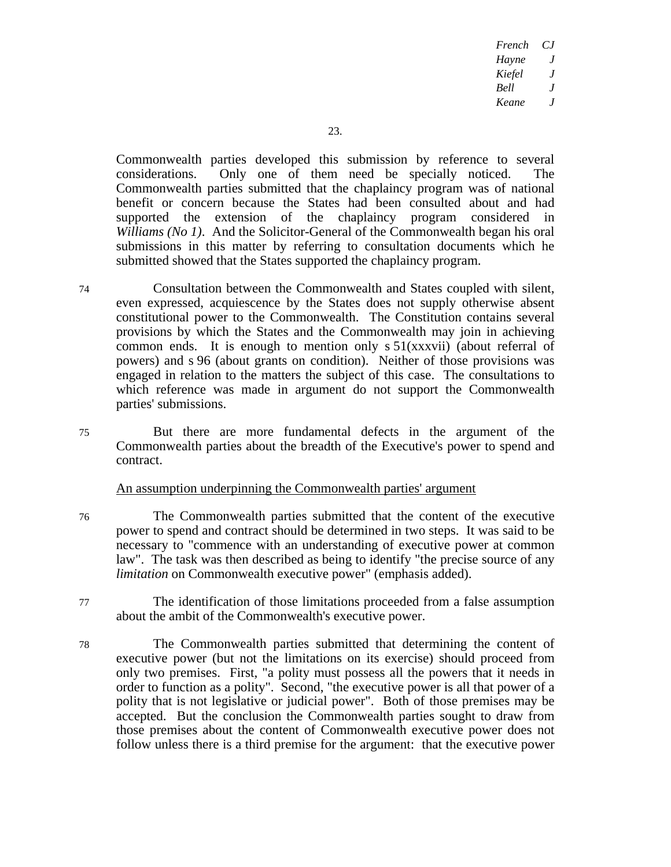Commonwealth parties developed this submission by reference to several considerations. Only one of them need be specially noticed. The Commonwealth parties submitted that the chaplaincy program was of national benefit or concern because the States had been consulted about and had supported the extension of the chaplaincy program considered in *Williams (No 1)*. And the Solicitor-General of the Commonwealth began his oral submissions in this matter by referring to consultation documents which he submitted showed that the States supported the chaplaincy program.

- 74 Consultation between the Commonwealth and States coupled with silent, even expressed, acquiescence by the States does not supply otherwise absent constitutional power to the Commonwealth. The Constitution contains several provisions by which the States and the Commonwealth may join in achieving common ends. It is enough to mention only s 51(xxxvii) (about referral of powers) and s 96 (about grants on condition). Neither of those provisions was engaged in relation to the matters the subject of this case. The consultations to which reference was made in argument do not support the Commonwealth parties' submissions.
- 75 But there are more fundamental defects in the argument of the Commonwealth parties about the breadth of the Executive's power to spend and contract.

#### An assumption underpinning the Commonwealth parties' argument

- 76 The Commonwealth parties submitted that the content of the executive power to spend and contract should be determined in two steps. It was said to be necessary to "commence with an understanding of executive power at common law". The task was then described as being to identify "the precise source of any *limitation* on Commonwealth executive power" (emphasis added).
- 77 The identification of those limitations proceeded from a false assumption about the ambit of the Commonwealth's executive power.
- 78 The Commonwealth parties submitted that determining the content of executive power (but not the limitations on its exercise) should proceed from only two premises. First, "a polity must possess all the powers that it needs in order to function as a polity". Second, "the executive power is all that power of a polity that is not legislative or judicial power". Both of those premises may be accepted. But the conclusion the Commonwealth parties sought to draw from those premises about the content of Commonwealth executive power does not follow unless there is a third premise for the argument: that the executive power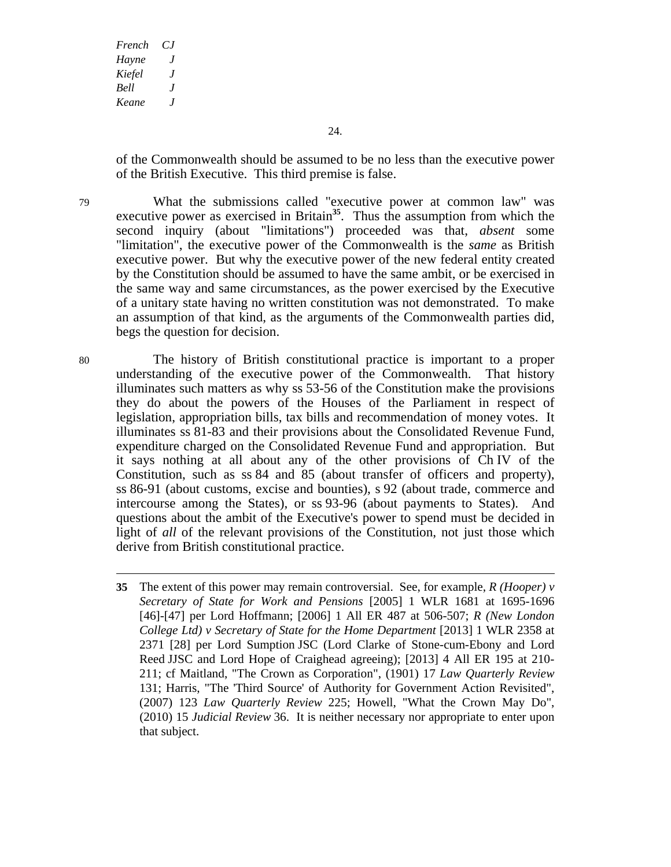24.

of the Commonwealth should be assumed to be no less than the executive power of the British Executive. This third premise is false.

79 What the submissions called "executive power at common law" was executive power as exercised in Britain**<sup>35</sup>**. Thus the assumption from which the second inquiry (about "limitations") proceeded was that, *absent* some "limitation", the executive power of the Commonwealth is the *same* as British executive power. But why the executive power of the new federal entity created by the Constitution should be assumed to have the same ambit, or be exercised in the same way and same circumstances, as the power exercised by the Executive of a unitary state having no written constitution was not demonstrated. To make an assumption of that kind, as the arguments of the Commonwealth parties did, begs the question for decision.

80 The history of British constitutional practice is important to a proper understanding of the executive power of the Commonwealth. That history illuminates such matters as why ss 53-56 of the Constitution make the provisions they do about the powers of the Houses of the Parliament in respect of legislation, appropriation bills, tax bills and recommendation of money votes. It illuminates ss 81-83 and their provisions about the Consolidated Revenue Fund, expenditure charged on the Consolidated Revenue Fund and appropriation. But it says nothing at all about any of the other provisions of Ch IV of the Constitution, such as ss 84 and 85 (about transfer of officers and property), ss 86-91 (about customs, excise and bounties), s 92 (about trade, commerce and intercourse among the States), or ss 93-96 (about payments to States). And questions about the ambit of the Executive's power to spend must be decided in light of *all* of the relevant provisions of the Constitution, not just those which derive from British constitutional practice.

**<sup>35</sup>** The extent of this power may remain controversial. See, for example, *R (Hooper) v Secretary of State for Work and Pensions* [2005] 1 WLR 1681 at 1695-1696 [46]-[47] per Lord Hoffmann; [2006] 1 All ER 487 at 506-507; *R (New London College Ltd) v Secretary of State for the Home Department* [2013] 1 WLR 2358 at 2371 [28] per Lord Sumption JSC (Lord Clarke of Stone-cum-Ebony and Lord Reed JJSC and Lord Hope of Craighead agreeing); [2013] 4 All ER 195 at 210- 211; cf Maitland, "The Crown as Corporation", (1901) 17 *Law Quarterly Review*  131; Harris, "The 'Third Source' of Authority for Government Action Revisited", (2007) 123 *Law Quarterly Review* 225; Howell, "What the Crown May Do", (2010) 15 *Judicial Review* 36. It is neither necessary nor appropriate to enter upon that subject.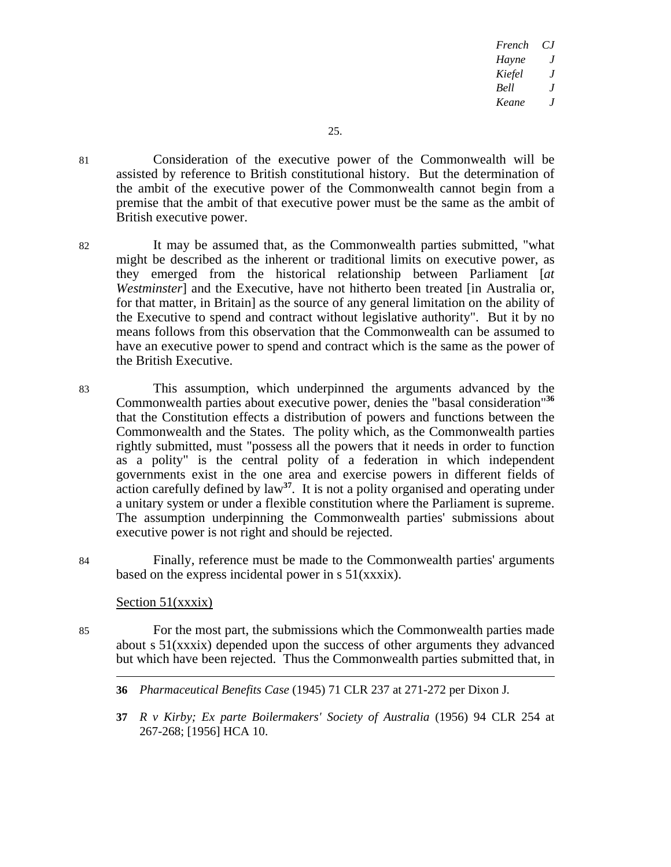81 Consideration of the executive power of the Commonwealth will be assisted by reference to British constitutional history. But the determination of the ambit of the executive power of the Commonwealth cannot begin from a premise that the ambit of that executive power must be the same as the ambit of British executive power.

- 82 It may be assumed that, as the Commonwealth parties submitted, "what might be described as the inherent or traditional limits on executive power, as they emerged from the historical relationship between Parliament [*at Westminster*] and the Executive, have not hitherto been treated [in Australia or, for that matter, in Britain] as the source of any general limitation on the ability of the Executive to spend and contract without legislative authority". But it by no means follows from this observation that the Commonwealth can be assumed to have an executive power to spend and contract which is the same as the power of the British Executive.
- 83 This assumption, which underpinned the arguments advanced by the Commonwealth parties about executive power, denies the "basal consideration"**<sup>36</sup>** that the Constitution effects a distribution of powers and functions between the Commonwealth and the States. The polity which, as the Commonwealth parties rightly submitted, must "possess all the powers that it needs in order to function as a polity" is the central polity of a federation in which independent governments exist in the one area and exercise powers in different fields of action carefully defined by law**<sup>37</sup>**. It is not a polity organised and operating under a unitary system or under a flexible constitution where the Parliament is supreme. The assumption underpinning the Commonwealth parties' submissions about executive power is not right and should be rejected.
- 84 Finally, reference must be made to the Commonwealth parties' arguments based on the express incidental power in  $s \frac{51}{xx \dot{x}}$ .

## Section 51(xxxix)

- 85 For the most part, the submissions which the Commonwealth parties made about s 51(xxxix) depended upon the success of other arguments they advanced but which have been rejected. Thus the Commonwealth parties submitted that, in
	- **36** *Pharmaceutical Benefits Case* (1945) 71 CLR 237 at 271-272 per Dixon J*.*
	- **37** *R v Kirby; Ex parte Boilermakers' Society of Australia* (1956) 94 CLR 254 at 267-268; [1956] HCA 10.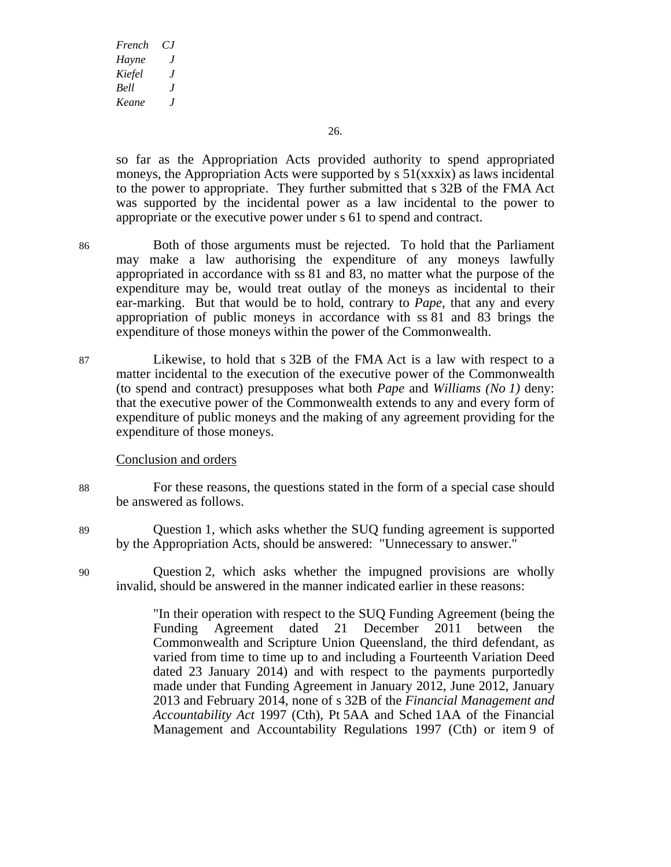26.

so far as the Appropriation Acts provided authority to spend appropriated moneys, the Appropriation Acts were supported by s 51(xxxix) as laws incidental to the power to appropriate. They further submitted that s 32B of the FMA Act was supported by the incidental power as a law incidental to the power to appropriate or the executive power under s 61 to spend and contract.

86 Both of those arguments must be rejected. To hold that the Parliament may make a law authorising the expenditure of any moneys lawfully appropriated in accordance with ss 81 and 83, no matter what the purpose of the expenditure may be, would treat outlay of the moneys as incidental to their ear-marking. But that would be to hold, contrary to *Pape*, that any and every appropriation of public moneys in accordance with ss 81 and 83 brings the expenditure of those moneys within the power of the Commonwealth.

87 Likewise, to hold that s 32B of the FMA Act is a law with respect to a matter incidental to the execution of the executive power of the Commonwealth (to spend and contract) presupposes what both *Pape* and *Williams (No 1)* deny: that the executive power of the Commonwealth extends to any and every form of expenditure of public moneys and the making of any agreement providing for the expenditure of those moneys.

## Conclusion and orders

- 88 For these reasons, the questions stated in the form of a special case should be answered as follows.
- 89 Question 1, which asks whether the SUQ funding agreement is supported by the Appropriation Acts, should be answered: "Unnecessary to answer."
- 90 Question 2, which asks whether the impugned provisions are wholly invalid, should be answered in the manner indicated earlier in these reasons:

"In their operation with respect to the SUQ Funding Agreement (being the Funding Agreement dated 21 December 2011 between the Commonwealth and Scripture Union Queensland, the third defendant, as varied from time to time up to and including a Fourteenth Variation Deed dated 23 January 2014) and with respect to the payments purportedly made under that Funding Agreement in January 2012, June 2012, January 2013 and February 2014, none of s 32B of the *Financial Management and Accountability Act* 1997 (Cth), Pt 5AA and Sched 1AA of the Financial Management and Accountability Regulations 1997 (Cth) or item 9 of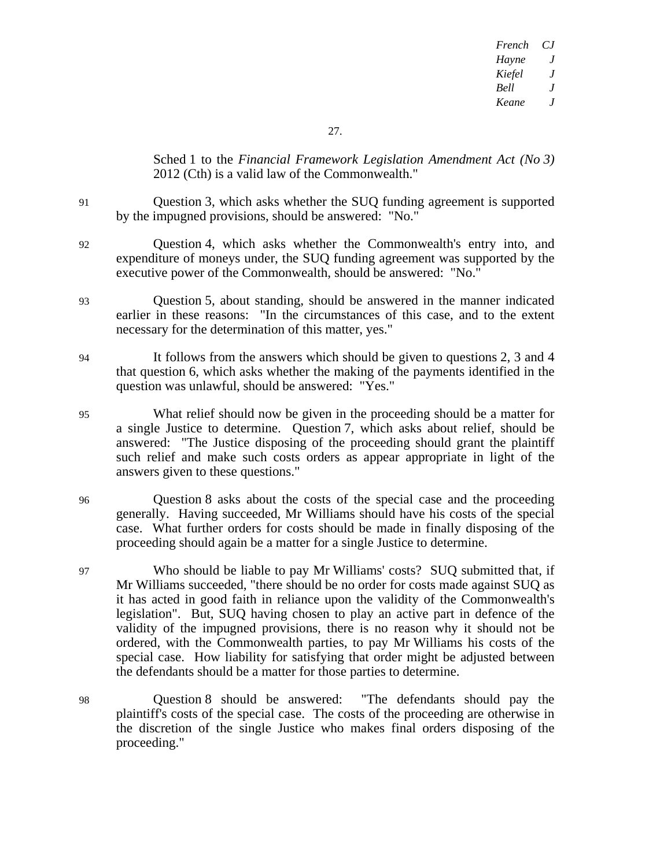Sched 1 to the *Financial Framework Legislation Amendment Act (No 3)*  2012 (Cth) is a valid law of the Commonwealth."

- 91 Question 3, which asks whether the SUQ funding agreement is supported by the impugned provisions, should be answered: "No."
- 92 Question 4, which asks whether the Commonwealth's entry into, and expenditure of moneys under, the SUQ funding agreement was supported by the executive power of the Commonwealth, should be answered: "No."
- 93 Question 5, about standing, should be answered in the manner indicated earlier in these reasons: "In the circumstances of this case, and to the extent necessary for the determination of this matter, yes."
- 94 It follows from the answers which should be given to questions 2, 3 and 4 that question 6, which asks whether the making of the payments identified in the question was unlawful, should be answered: "Yes."
- 95 What relief should now be given in the proceeding should be a matter for a single Justice to determine. Question 7, which asks about relief, should be answered: "The Justice disposing of the proceeding should grant the plaintiff such relief and make such costs orders as appear appropriate in light of the answers given to these questions."
- 96 Question 8 asks about the costs of the special case and the proceeding generally. Having succeeded, Mr Williams should have his costs of the special case. What further orders for costs should be made in finally disposing of the proceeding should again be a matter for a single Justice to determine.
- 97 Who should be liable to pay Mr Williams' costs? SUQ submitted that, if Mr Williams succeeded, "there should be no order for costs made against SUQ as it has acted in good faith in reliance upon the validity of the Commonwealth's legislation". But, SUQ having chosen to play an active part in defence of the validity of the impugned provisions, there is no reason why it should not be ordered, with the Commonwealth parties, to pay Mr Williams his costs of the special case. How liability for satisfying that order might be adjusted between the defendants should be a matter for those parties to determine.
- 98 Question 8 should be answered: "The defendants should pay the plaintiff's costs of the special case. The costs of the proceeding are otherwise in the discretion of the single Justice who makes final orders disposing of the proceeding."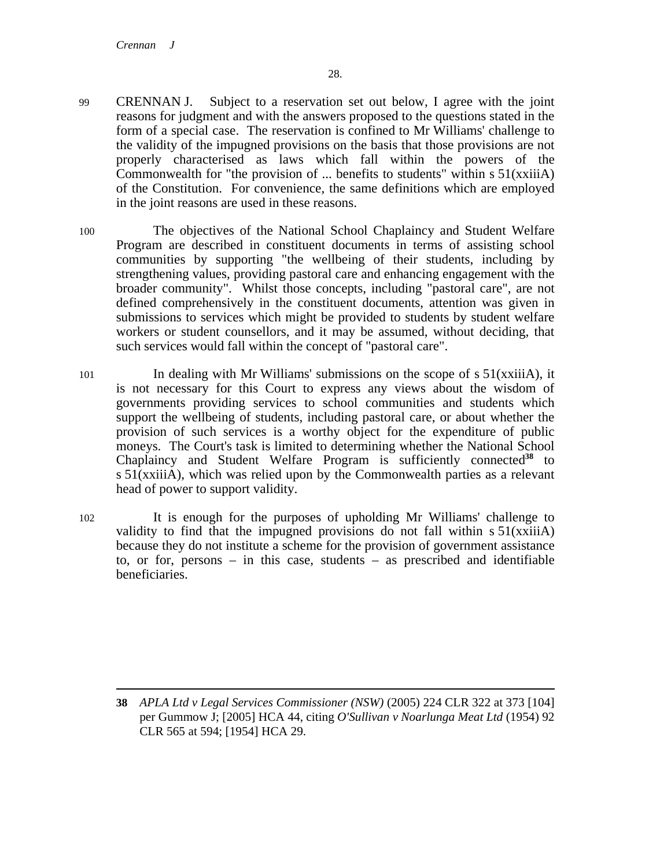- 99 CRENNAN J. Subject to a reservation set out below, I agree with the joint reasons for judgment and with the answers proposed to the questions stated in the form of a special case. The reservation is confined to Mr Williams' challenge to the validity of the impugned provisions on the basis that those provisions are not properly characterised as laws which fall within the powers of the Commonwealth for "the provision of ... benefits to students" within  $s 51(xxii)$ of the Constitution. For convenience, the same definitions which are employed in the joint reasons are used in these reasons.
- 100 The objectives of the National School Chaplaincy and Student Welfare Program are described in constituent documents in terms of assisting school communities by supporting "the wellbeing of their students, including by strengthening values, providing pastoral care and enhancing engagement with the broader community". Whilst those concepts, including "pastoral care", are not defined comprehensively in the constituent documents, attention was given in submissions to services which might be provided to students by student welfare workers or student counsellors, and it may be assumed, without deciding, that such services would fall within the concept of "pastoral care".
- 101 In dealing with Mr Williams' submissions on the scope of s 51(xxiiiA), it is not necessary for this Court to express any views about the wisdom of governments providing services to school communities and students which support the wellbeing of students, including pastoral care, or about whether the provision of such services is a worthy object for the expenditure of public moneys. The Court's task is limited to determining whether the National School Chaplaincy and Student Welfare Program is sufficiently connected**<sup>38</sup>** to s 51(xxiiiA), which was relied upon by the Commonwealth parties as a relevant head of power to support validity.
- 102 It is enough for the purposes of upholding Mr Williams' challenge to validity to find that the impugned provisions do not fall within  $s \frac{51}{x}$ because they do not institute a scheme for the provision of government assistance to, or for, persons – in this case, students – as prescribed and identifiable beneficiaries.

**<sup>38</sup>** *APLA Ltd v Legal Services Commissioner (NSW)* (2005) 224 CLR 322 at 373 [104] per Gummow J; [2005] HCA 44, citing *O'Sullivan v Noarlunga Meat Ltd* (1954) 92 CLR 565 at 594; [1954] HCA 29.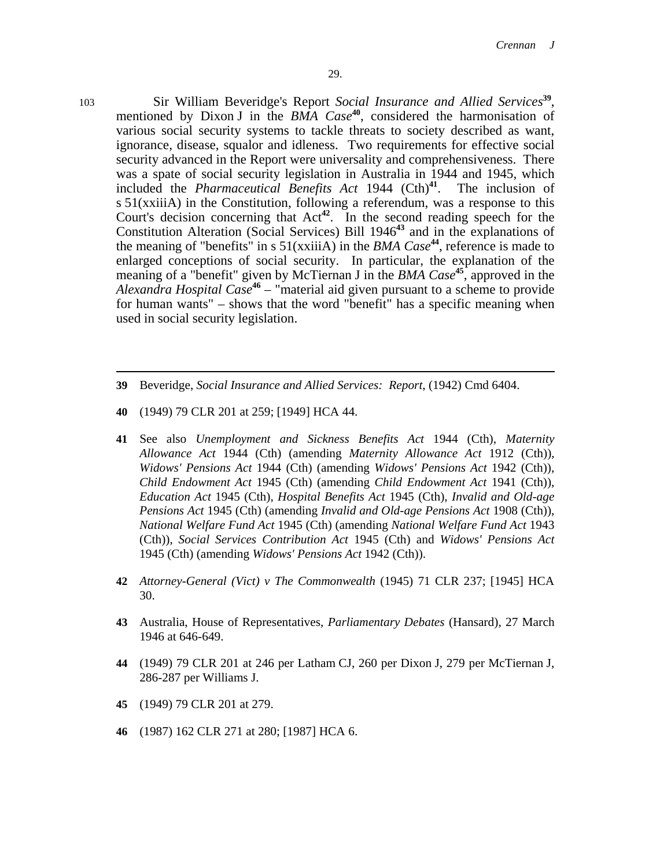103 Sir William Beveridge's Report *Social Insurance and Allied Services***<sup>39</sup>**, mentioned by Dixon J in the *BMA Case***<sup>40</sup>**, considered the harmonisation of various social security systems to tackle threats to society described as want, ignorance, disease, squalor and idleness. Two requirements for effective social security advanced in the Report were universality and comprehensiveness. There was a spate of social security legislation in Australia in 1944 and 1945, which included the *Pharmaceutical Benefits Act* 1944 (Cth)**<sup>41</sup>**. The inclusion of s 51(xxiiiA) in the Constitution, following a referendum, was a response to this Court's decision concerning that  $Act^{42}$ . In the second reading speech for the Constitution Alteration (Social Services) Bill 1946**<sup>43</sup>** and in the explanations of the meaning of "benefits" in s 51(xxiiiA) in the *BMA Case***<sup>44</sup>**, reference is made to enlarged conceptions of social security. In particular, the explanation of the meaning of a "benefit" given by McTiernan J in the *BMA Case***<sup>45</sup>**, approved in the *Alexandra Hospital Case***<sup>46</sup>** – "material aid given pursuant to a scheme to provide for human wants" – shows that the word "benefit" has a specific meaning when used in social security legislation.

- **39** Beveridge, *Social Insurance and Allied Services: Report*, (1942) Cmd 6404.
- **40** (1949) 79 CLR 201 at 259; [1949] HCA 44.

l

- **41** See also *Unemployment and Sickness Benefits Act* 1944 (Cth), *Maternity Allowance Act* 1944 (Cth) (amending *Maternity Allowance Act* 1912 (Cth)), *Widows' Pensions Act* 1944 (Cth) (amending *Widows' Pensions Act* 1942 (Cth)), *Child Endowment Act* 1945 (Cth) (amending *Child Endowment Act* 1941 (Cth)), *Education Act* 1945 (Cth), *Hospital Benefits Act* 1945 (Cth), *Invalid and Old-age Pensions Act* 1945 (Cth) (amending *Invalid and Old-age Pensions Act* 1908 (Cth)), *National Welfare Fund Act* 1945 (Cth) (amending *National Welfare Fund Act* 1943 (Cth)), *Social Services Contribution Act* 1945 (Cth) and *Widows' Pensions Act* 1945 (Cth) (amending *Widows' Pensions Act* 1942 (Cth)).
- **42** *Attorney-General (Vict) v The Commonwealth* (1945) 71 CLR 237; [1945] HCA 30.
- **43** Australia, House of Representatives, *Parliamentary Debates* (Hansard), 27 March 1946 at 646-649.
- **44** (1949) 79 CLR 201 at 246 per Latham CJ, 260 per Dixon J, 279 per McTiernan J, 286-287 per Williams J.
- **45** (1949) 79 CLR 201 at 279.
- **46** (1987) 162 CLR 271 at 280; [1987] HCA 6.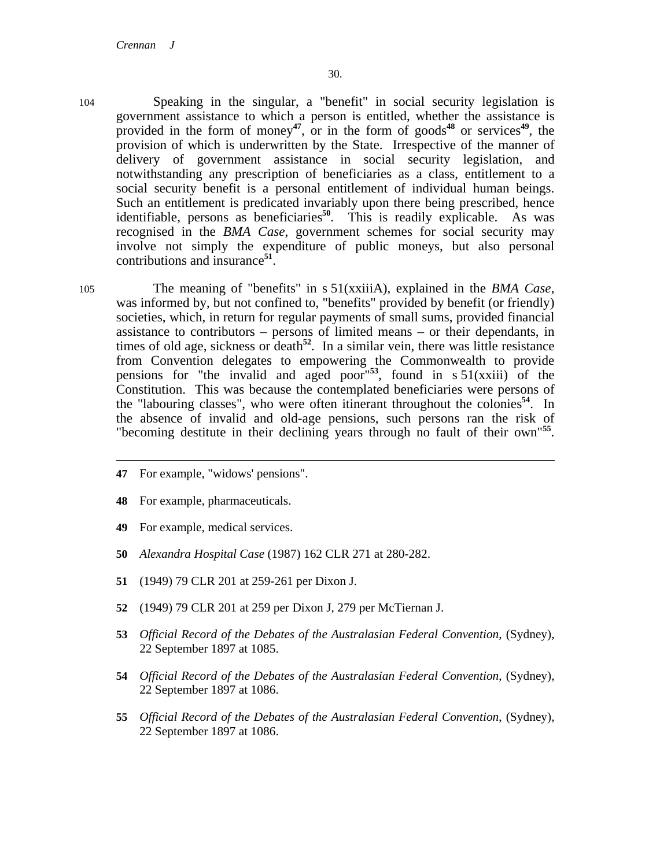- 104 Speaking in the singular, a "benefit" in social security legislation is government assistance to which a person is entitled, whether the assistance is provided in the form of money**<sup>47</sup>**, or in the form of goods**<sup>48</sup>** or services**<sup>49</sup>**, the provision of which is underwritten by the State. Irrespective of the manner of delivery of government assistance in social security legislation, and notwithstanding any prescription of beneficiaries as a class, entitlement to a social security benefit is a personal entitlement of individual human beings. Such an entitlement is predicated invariably upon there being prescribed, hence identifiable, persons as beneficiaries**<sup>50</sup>**. This is readily explicable. As was recognised in the *BMA Case*, government schemes for social security may involve not simply the expenditure of public moneys, but also personal contributions and insurance**<sup>51</sup>**.
- 105 The meaning of "benefits" in s 51(xxiiiA), explained in the *BMA Case*, was informed by, but not confined to, "benefits" provided by benefit (or friendly) societies, which, in return for regular payments of small sums, provided financial assistance to contributors – persons of limited means – or their dependants, in times of old age, sickness or death<sup>52</sup>. In a similar vein, there was little resistance from Convention delegates to empowering the Commonwealth to provide pensions for "the invalid and aged poor"<sup>53</sup>, found in  $s 51(xxiii)$  of the Constitution. This was because the contemplated beneficiaries were persons of the "labouring classes", who were often itinerant throughout the colonies**<sup>54</sup>**. In the absence of invalid and old-age pensions, such persons ran the risk of "becoming destitute in their declining years through no fault of their own"**<sup>55</sup>**.
	- **47** For example, "widows' pensions".
	- **48** For example, pharmaceuticals.
	- **49** For example, medical services.
	- **50** *Alexandra Hospital Case* (1987) 162 CLR 271 at 280-282.
	- **51** (1949) 79 CLR 201 at 259-261 per Dixon J.
	- **52** (1949) 79 CLR 201 at 259 per Dixon J, 279 per McTiernan J.
	- **53** *Official Record of the Debates of the Australasian Federal Convention*, (Sydney), 22 September 1897 at 1085.
	- **54** *Official Record of the Debates of the Australasian Federal Convention*, (Sydney), 22 September 1897 at 1086.
	- **55** *Official Record of the Debates of the Australasian Federal Convention*, (Sydney), 22 September 1897 at 1086.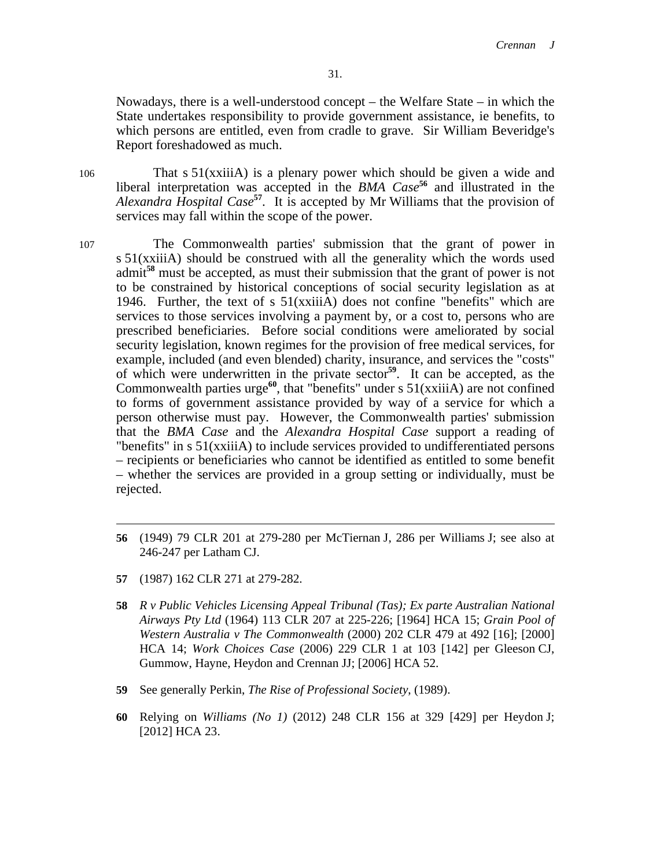Nowadays, there is a well-understood concept – the Welfare State – in which the State undertakes responsibility to provide government assistance, ie benefits, to which persons are entitled, even from cradle to grave. Sir William Beveridge's Report foreshadowed as much.

106 That s 51(xxiiiA) is a plenary power which should be given a wide and liberal interpretation was accepted in the *BMA Case***<sup>56</sup>** and illustrated in the *Alexandra Hospital Case***<sup>57</sup>**. It is accepted by Mr Williams that the provision of services may fall within the scope of the power.

- 107 The Commonwealth parties' submission that the grant of power in s 51(xxiiiA) should be construed with all the generality which the words used admit**<sup>58</sup>** must be accepted, as must their submission that the grant of power is not to be constrained by historical conceptions of social security legislation as at 1946. Further, the text of s  $51(xxii)$  does not confine "benefits" which are services to those services involving a payment by, or a cost to, persons who are prescribed beneficiaries. Before social conditions were ameliorated by social security legislation, known regimes for the provision of free medical services, for example, included (and even blended) charity, insurance, and services the "costs" of which were underwritten in the private sector**<sup>59</sup>**. It can be accepted, as the Commonwealth parties urge<sup>60</sup>, that "benefits" under s  $51(xxii)$  are not confined to forms of government assistance provided by way of a service for which a person otherwise must pay. However, the Commonwealth parties' submission that the *BMA Case* and the *Alexandra Hospital Case* support a reading of "benefits" in s 51(xxiiiA) to include services provided to undifferentiated persons – recipients or beneficiaries who cannot be identified as entitled to some benefit – whether the services are provided in a group setting or individually, must be rejected.
	- **56** (1949) 79 CLR 201 at 279-280 per McTiernan J, 286 per Williams J; see also at 246-247 per Latham CJ.
	- **57** (1987) 162 CLR 271 at 279-282.
	- **58** *R v Public Vehicles Licensing Appeal Tribunal (Tas); Ex parte Australian National Airways Pty Ltd* (1964) 113 CLR 207 at 225-226; [1964] HCA 15; *Grain Pool of Western Australia v The Commonwealth* (2000) 202 CLR 479 at 492 [16]; [2000] HCA 14; *Work Choices Case* (2006) 229 CLR 1 at 103 [142] per Gleeson CJ, Gummow, Hayne, Heydon and Crennan JJ; [2006] HCA 52.
	- **59** See generally Perkin, *The Rise of Professional Society*, (1989).
	- **60** Relying on *Williams (No 1)* (2012) 248 CLR 156 at 329 [429] per Heydon J; [2012] HCA 23.

 $\overline{a}$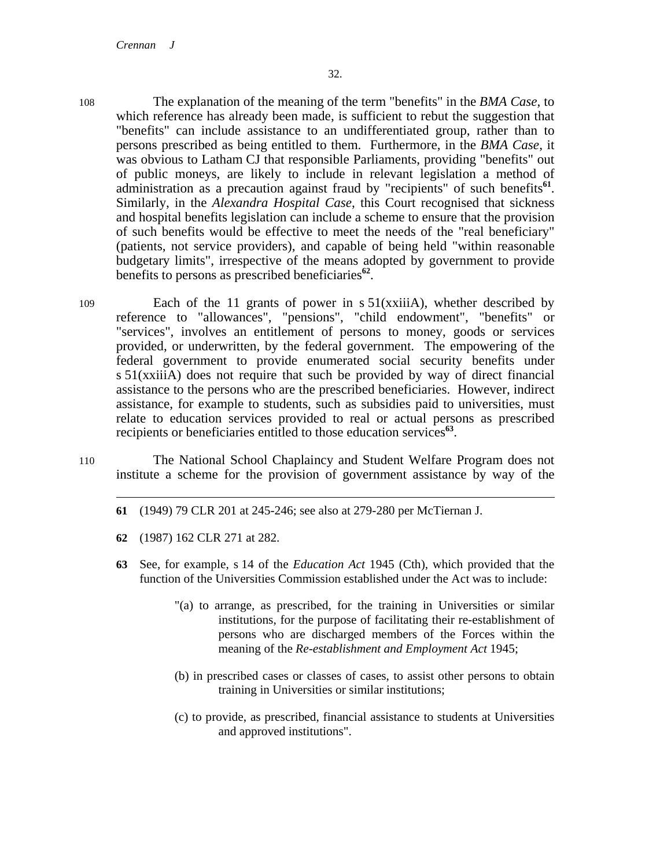108 The explanation of the meaning of the term "benefits" in the *BMA Case*, to which reference has already been made, is sufficient to rebut the suggestion that "benefits" can include assistance to an undifferentiated group, rather than to persons prescribed as being entitled to them. Furthermore, in the *BMA Case*, it was obvious to Latham CJ that responsible Parliaments, providing "benefits" out of public moneys, are likely to include in relevant legislation a method of administration as a precaution against fraud by "recipients" of such benefits**<sup>61</sup>**. Similarly, in the *Alexandra Hospital Case*, this Court recognised that sickness and hospital benefits legislation can include a scheme to ensure that the provision of such benefits would be effective to meet the needs of the "real beneficiary" (patients, not service providers), and capable of being held "within reasonable budgetary limits", irrespective of the means adopted by government to provide benefits to persons as prescribed beneficiaries**<sup>62</sup>**.

109 Each of the 11 grants of power in s 51(xxiiiA), whether described by reference to "allowances", "pensions", "child endowment", "benefits" or "services", involves an entitlement of persons to money, goods or services provided, or underwritten, by the federal government. The empowering of the federal government to provide enumerated social security benefits under s 51(xxiiiA) does not require that such be provided by way of direct financial assistance to the persons who are the prescribed beneficiaries. However, indirect assistance, for example to students, such as subsidies paid to universities, must relate to education services provided to real or actual persons as prescribed recipients or beneficiaries entitled to those education services**<sup>63</sup>**.

- 110 The National School Chaplaincy and Student Welfare Program does not institute a scheme for the provision of government assistance by way of the
	- **61** (1949) 79 CLR 201 at 245-246; see also at 279-280 per McTiernan J.

**62** (1987) 162 CLR 271 at 282.

 $\overline{a}$ 

- **63** See, for example, s 14 of the *Education Act* 1945 (Cth), which provided that the function of the Universities Commission established under the Act was to include:
	- "(a) to arrange, as prescribed, for the training in Universities or similar institutions, for the purpose of facilitating their re-establishment of persons who are discharged members of the Forces within the meaning of the *Re-establishment and Employment Act* 1945;
	- (b) in prescribed cases or classes of cases, to assist other persons to obtain training in Universities or similar institutions;
	- (c) to provide, as prescribed, financial assistance to students at Universities and approved institutions".